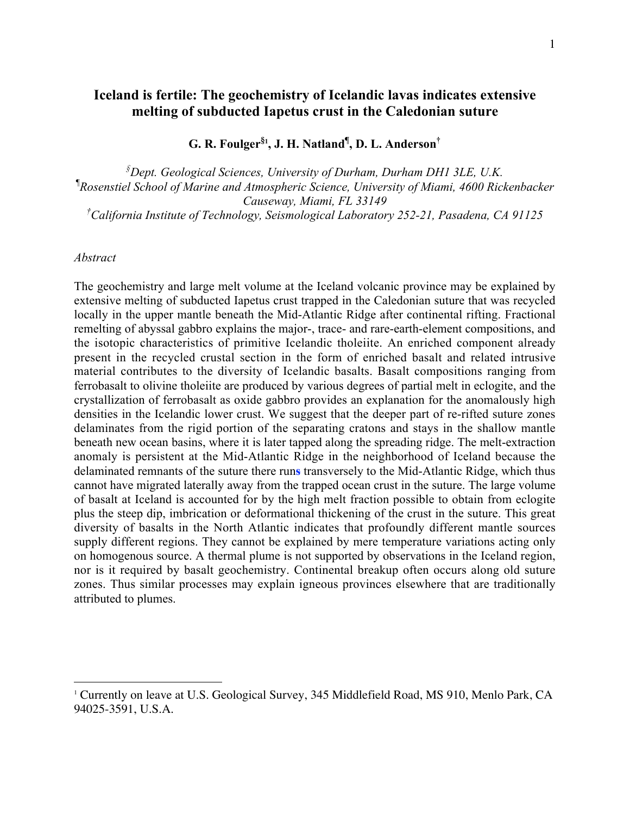# **Iceland is fertile: The geochemistry of Icelandic lavas indicates extensive melting of subducted Iapetus crust in the Caledonian suture**

**G. R. Foulger§1 , J. H. Natland¶ , D. L. Anderson†**

*§ Dept. Geological Sciences, University of Durham, Durham DH1 3LE, U.K. ¶ Rosenstiel School of Marine and Atmospheric Science, University of Miami, 4600 Rickenbacker Causeway, Miami, FL 33149 † California Institute of Technology, Seismological Laboratory 252-21, Pasadena, CA 91125*

## *Abstract*

The geochemistry and large melt volume at the Iceland volcanic province may be explained by extensive melting of subducted Iapetus crust trapped in the Caledonian suture that was recycled locally in the upper mantle beneath the Mid-Atlantic Ridge after continental rifting. Fractional remelting of abyssal gabbro explains the major-, trace- and rare-earth-element compositions, and the isotopic characteristics of primitive Icelandic tholeiite. An enriched component already present in the recycled crustal section in the form of enriched basalt and related intrusive material contributes to the diversity of Icelandic basalts. Basalt compositions ranging from ferrobasalt to olivine tholeiite are produced by various degrees of partial melt in eclogite, and the crystallization of ferrobasalt as oxide gabbro provides an explanation for the anomalously high densities in the Icelandic lower crust. We suggest that the deeper part of re-rifted suture zones delaminates from the rigid portion of the separating cratons and stays in the shallow mantle beneath new ocean basins, where it is later tapped along the spreading ridge. The melt-extraction anomaly is persistent at the Mid-Atlantic Ridge in the neighborhood of Iceland because the delaminated remnants of the suture there run**s** transversely to the Mid-Atlantic Ridge, which thus cannot have migrated laterally away from the trapped ocean crust in the suture. The large volume of basalt at Iceland is accounted for by the high melt fraction possible to obtain from eclogite plus the steep dip, imbrication or deformational thickening of the crust in the suture. This great diversity of basalts in the North Atlantic indicates that profoundly different mantle sources supply different regions. They cannot be explained by mere temperature variations acting only on homogenous source. A thermal plume is not supported by observations in the Iceland region, nor is it required by basalt geochemistry. Continental breakup often occurs along old suture zones. Thus similar processes may explain igneous provinces elsewhere that are traditionally attributed to plumes.

 $\frac{1}{1}$ <sup>1</sup> Currently on leave at U.S. Geological Survey, 345 Middlefield Road, MS 910, Menlo Park, CA 94025-3591, U.S.A.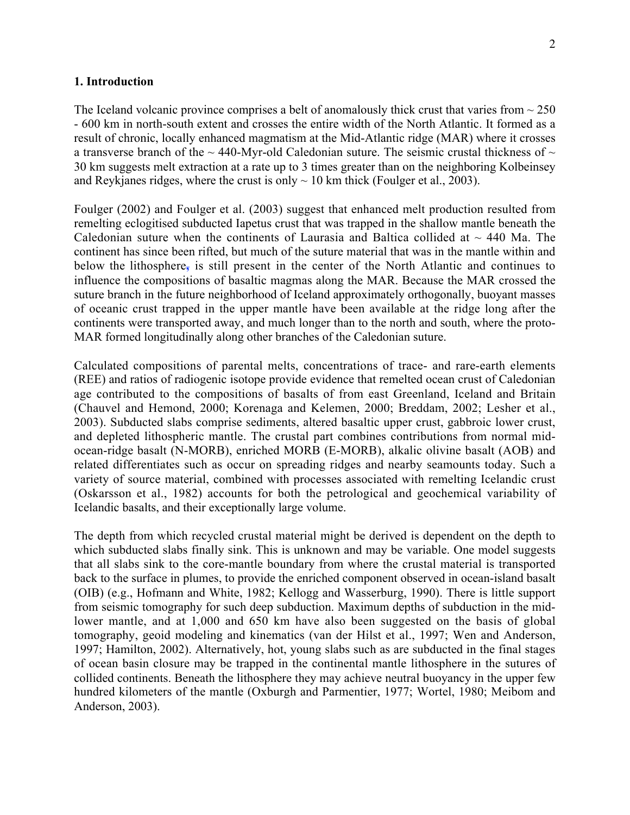#### **1. Introduction**

The Iceland volcanic province comprises a belt of anomalously thick crust that varies from  $\sim$  250 - 600 km in north-south extent and crosses the entire width of the North Atlantic. It formed as a result of chronic, locally enhanced magmatism at the Mid-Atlantic ridge (MAR) where it crosses a transverse branch of the  $\sim$  440-Myr-old Caledonian suture. The seismic crustal thickness of  $\sim$ 30 km suggests melt extraction at a rate up to 3 times greater than on the neighboring Kolbeinsey and Reykjanes ridges, where the crust is only  $\sim 10$  km thick (Foulger et al., 2003).

Foulger (2002) and Foulger et al. (2003) suggest that enhanced melt production resulted from remelting eclogitised subducted Iapetus crust that was trapped in the shallow mantle beneath the Caledonian suture when the continents of Laurasia and Baltica collided at  $\sim$  440 Ma. The continent has since been rifted, but much of the suture material that was in the mantle within and below the lithosphere**,** is still present in the center of the North Atlantic and continues to influence the compositions of basaltic magmas along the MAR. Because the MAR crossed the suture branch in the future neighborhood of Iceland approximately orthogonally, buoyant masses of oceanic crust trapped in the upper mantle have been available at the ridge long after the continents were transported away, and much longer than to the north and south, where the proto-MAR formed longitudinally along other branches of the Caledonian suture.

Calculated compositions of parental melts, concentrations of trace- and rare-earth elements (REE) and ratios of radiogenic isotope provide evidence that remelted ocean crust of Caledonian age contributed to the compositions of basalts of from east Greenland, Iceland and Britain (Chauvel and Hemond, 2000; Korenaga and Kelemen, 2000; Breddam, 2002; Lesher et al., 2003). Subducted slabs comprise sediments, altered basaltic upper crust, gabbroic lower crust, and depleted lithospheric mantle. The crustal part combines contributions from normal midocean-ridge basalt (N-MORB), enriched MORB (E-MORB), alkalic olivine basalt (AOB) and related differentiates such as occur on spreading ridges and nearby seamounts today. Such a variety of source material, combined with processes associated with remelting Icelandic crust (Oskarsson et al., 1982) accounts for both the petrological and geochemical variability of Icelandic basalts, and their exceptionally large volume.

The depth from which recycled crustal material might be derived is dependent on the depth to which subducted slabs finally sink. This is unknown and may be variable. One model suggests that all slabs sink to the core-mantle boundary from where the crustal material is transported back to the surface in plumes, to provide the enriched component observed in ocean-island basalt (OIB) (e.g., Hofmann and White, 1982; Kellogg and Wasserburg, 1990). There is little support from seismic tomography for such deep subduction. Maximum depths of subduction in the midlower mantle, and at 1,000 and 650 km have also been suggested on the basis of global tomography, geoid modeling and kinematics (van der Hilst et al., 1997; Wen and Anderson, 1997; Hamilton, 2002). Alternatively, hot, young slabs such as are subducted in the final stages of ocean basin closure may be trapped in the continental mantle lithosphere in the sutures of collided continents. Beneath the lithosphere they may achieve neutral buoyancy in the upper few hundred kilometers of the mantle (Oxburgh and Parmentier, 1977; Wortel, 1980; Meibom and Anderson, 2003).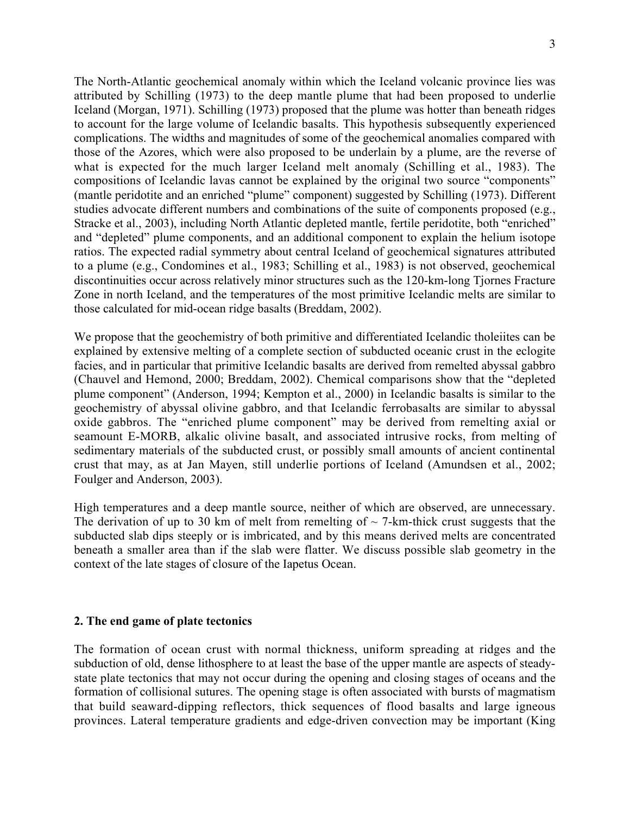The North-Atlantic geochemical anomaly within which the Iceland volcanic province lies was attributed by Schilling (1973) to the deep mantle plume that had been proposed to underlie Iceland (Morgan, 1971). Schilling (1973) proposed that the plume was hotter than beneath ridges to account for the large volume of Icelandic basalts. This hypothesis subsequently experienced complications. The widths and magnitudes of some of the geochemical anomalies compared with those of the Azores, which were also proposed to be underlain by a plume, are the reverse of what is expected for the much larger Iceland melt anomaly (Schilling et al., 1983). The compositions of Icelandic lavas cannot be explained by the original two source "components" (mantle peridotite and an enriched "plume" component) suggested by Schilling (1973). Different studies advocate different numbers and combinations of the suite of components proposed (e.g., Stracke et al., 2003), including North Atlantic depleted mantle, fertile peridotite, both "enriched" and "depleted" plume components, and an additional component to explain the helium isotope ratios. The expected radial symmetry about central Iceland of geochemical signatures attributed to a plume (e.g., Condomines et al., 1983; Schilling et al., 1983) is not observed, geochemical discontinuities occur across relatively minor structures such as the 120-km-long Tjornes Fracture Zone in north Iceland, and the temperatures of the most primitive Icelandic melts are similar to those calculated for mid-ocean ridge basalts (Breddam, 2002).

We propose that the geochemistry of both primitive and differentiated Icelandic tholeiites can be explained by extensive melting of a complete section of subducted oceanic crust in the eclogite facies, and in particular that primitive Icelandic basalts are derived from remelted abyssal gabbro (Chauvel and Hemond, 2000; Breddam, 2002). Chemical comparisons show that the "depleted plume component" (Anderson, 1994; Kempton et al., 2000) in Icelandic basalts is similar to the geochemistry of abyssal olivine gabbro, and that Icelandic ferrobasalts are similar to abyssal oxide gabbros. The "enriched plume component" may be derived from remelting axial or seamount E-MORB, alkalic olivine basalt, and associated intrusive rocks, from melting of sedimentary materials of the subducted crust, or possibly small amounts of ancient continental crust that may, as at Jan Mayen, still underlie portions of Iceland (Amundsen et al., 2002; Foulger and Anderson, 2003).

High temperatures and a deep mantle source, neither of which are observed, are unnecessary. The derivation of up to 30 km of melt from remelting of  $\sim$  7-km-thick crust suggests that the subducted slab dips steeply or is imbricated, and by this means derived melts are concentrated beneath a smaller area than if the slab were flatter. We discuss possible slab geometry in the context of the late stages of closure of the Iapetus Ocean.

#### **2. The end game of plate tectonics**

The formation of ocean crust with normal thickness, uniform spreading at ridges and the subduction of old, dense lithosphere to at least the base of the upper mantle are aspects of steadystate plate tectonics that may not occur during the opening and closing stages of oceans and the formation of collisional sutures. The opening stage is often associated with bursts of magmatism that build seaward-dipping reflectors, thick sequences of flood basalts and large igneous provinces. Lateral temperature gradients and edge-driven convection may be important (King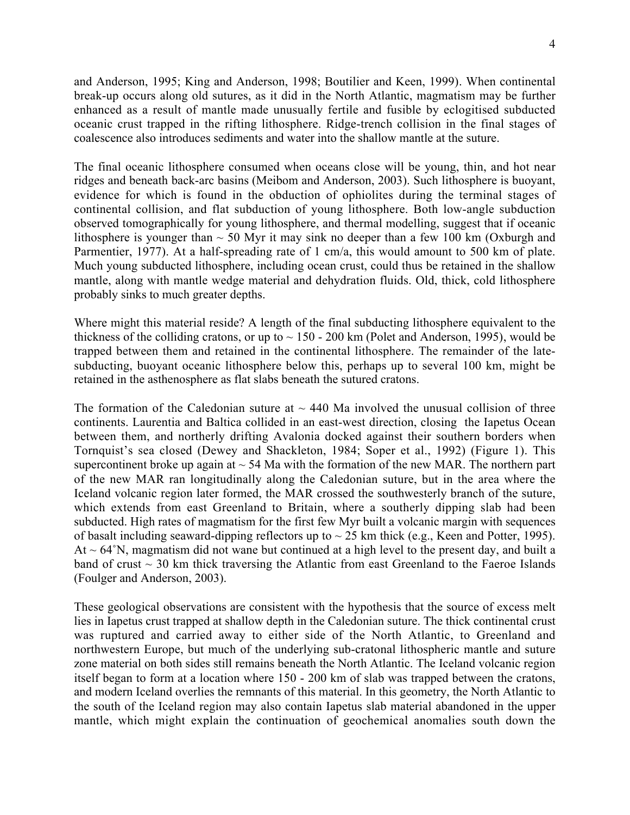and Anderson, 1995; King and Anderson, 1998; Boutilier and Keen, 1999). When continental break-up occurs along old sutures, as it did in the North Atlantic, magmatism may be further enhanced as a result of mantle made unusually fertile and fusible by eclogitised subducted oceanic crust trapped in the rifting lithosphere. Ridge-trench collision in the final stages of coalescence also introduces sediments and water into the shallow mantle at the suture.

The final oceanic lithosphere consumed when oceans close will be young, thin, and hot near ridges and beneath back-arc basins (Meibom and Anderson, 2003). Such lithosphere is buoyant, evidence for which is found in the obduction of ophiolites during the terminal stages of continental collision, and flat subduction of young lithosphere. Both low-angle subduction observed tomographically for young lithosphere, and thermal modelling, suggest that if oceanic lithosphere is younger than  $\sim$  50 Myr it may sink no deeper than a few 100 km (Oxburgh and Parmentier, 1977). At a half-spreading rate of 1 cm/a, this would amount to 500 km of plate. Much young subducted lithosphere, including ocean crust, could thus be retained in the shallow mantle, along with mantle wedge material and dehydration fluids. Old, thick, cold lithosphere probably sinks to much greater depths.

Where might this material reside? A length of the final subducting lithosphere equivalent to the thickness of the colliding cratons, or up to  $\sim$  150 - 200 km (Polet and Anderson, 1995), would be trapped between them and retained in the continental lithosphere. The remainder of the latesubducting, buoyant oceanic lithosphere below this, perhaps up to several 100 km, might be retained in the asthenosphere as flat slabs beneath the sutured cratons.

The formation of the Caledonian suture at  $\sim$  440 Ma involved the unusual collision of three continents. Laurentia and Baltica collided in an east-west direction, closing the Iapetus Ocean between them, and northerly drifting Avalonia docked against their southern borders when Tornquist's sea closed (Dewey and Shackleton, 1984; Soper et al., 1992) (Figure 1). This supercontinent broke up again at  $\sim$  54 Ma with the formation of the new MAR. The northern part of the new MAR ran longitudinally along the Caledonian suture, but in the area where the Iceland volcanic region later formed, the MAR crossed the southwesterly branch of the suture, which extends from east Greenland to Britain, where a southerly dipping slab had been subducted. High rates of magmatism for the first few Myr built a volcanic margin with sequences of basalt including seaward-dipping reflectors up to  $\sim$  25 km thick (e.g., Keen and Potter, 1995).  $At ~ 64°N$ , magmatism did not wane but continued at a high level to the present day, and built a band of crust  $\sim$  30 km thick traversing the Atlantic from east Greenland to the Faeroe Islands (Foulger and Anderson, 2003).

These geological observations are consistent with the hypothesis that the source of excess melt lies in Iapetus crust trapped at shallow depth in the Caledonian suture. The thick continental crust was ruptured and carried away to either side of the North Atlantic, to Greenland and northwestern Europe, but much of the underlying sub-cratonal lithospheric mantle and suture zone material on both sides still remains beneath the North Atlantic. The Iceland volcanic region itself began to form at a location where 150 - 200 km of slab was trapped between the cratons, and modern Iceland overlies the remnants of this material. In this geometry, the North Atlantic to the south of the Iceland region may also contain Iapetus slab material abandoned in the upper mantle, which might explain the continuation of geochemical anomalies south down the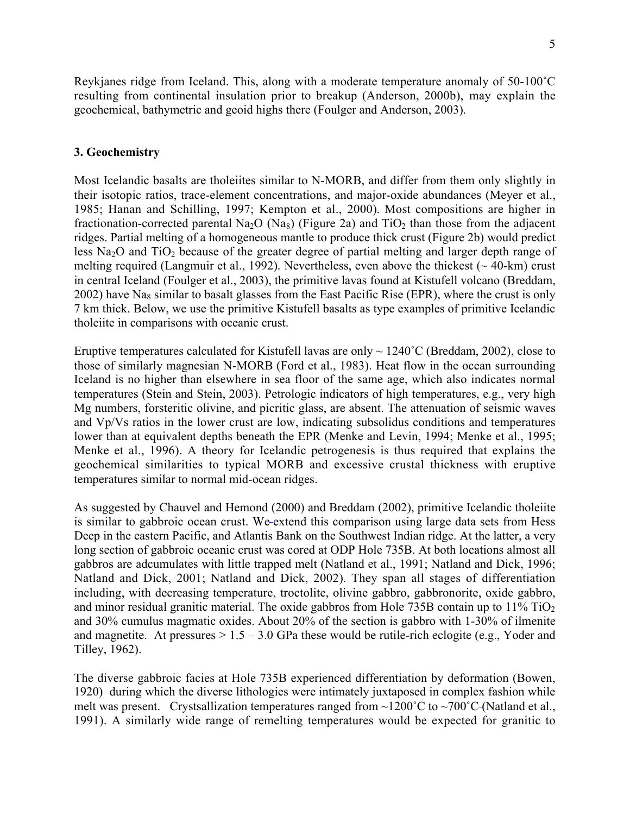Reykjanes ridge from Iceland. This, along with a moderate temperature anomaly of 50-100˚C resulting from continental insulation prior to breakup (Anderson, 2000b), may explain the geochemical, bathymetric and geoid highs there (Foulger and Anderson, 2003).

#### **3. Geochemistry**

Most Icelandic basalts are tholeiites similar to N-MORB, and differ from them only slightly in their isotopic ratios, trace-element concentrations, and major-oxide abundances (Meyer et al., 1985; Hanan and Schilling, 1997; Kempton et al., 2000). Most compositions are higher in fractionation-corrected parental Na<sub>2</sub>O (Na<sub>8</sub>) (Figure 2a) and TiO<sub>2</sub> than those from the adjacent ridges. Partial melting of a homogeneous mantle to produce thick crust (Figure 2b) would predict less  $Na<sub>2</sub>O$  and  $TiO<sub>2</sub>$  because of the greater degree of partial melting and larger depth range of melting required (Langmuir et al., 1992). Nevertheless, even above the thickest  $($   $\sim$  40-km) crust in central Iceland (Foulger et al., 2003), the primitive lavas found at Kistufell volcano (Breddam,  $2002$ ) have Na<sub>8</sub> similar to basalt glasses from the East Pacific Rise (EPR), where the crust is only 7 km thick. Below, we use the primitive Kistufell basalts as type examples of primitive Icelandic tholeiite in comparisons with oceanic crust.

Eruptive temperatures calculated for Kistufell lavas are only  $\sim 1240^{\circ}$ C (Breddam, 2002), close to those of similarly magnesian N-MORB (Ford et al., 1983). Heat flow in the ocean surrounding Iceland is no higher than elsewhere in sea floor of the same age, which also indicates normal temperatures (Stein and Stein, 2003). Petrologic indicators of high temperatures, e.g., very high Mg numbers, forsteritic olivine, and picritic glass, are absent. The attenuation of seismic waves and Vp/Vs ratios in the lower crust are low, indicating subsolidus conditions and temperatures lower than at equivalent depths beneath the EPR (Menke and Levin, 1994; Menke et al., 1995; Menke et al., 1996). A theory for Icelandic petrogenesis is thus required that explains the geochemical similarities to typical MORB and excessive crustal thickness with eruptive temperatures similar to normal mid-ocean ridges.

As suggested by Chauvel and Hemond (2000) and Breddam (2002), primitive Icelandic tholeiite is similar to gabbroic ocean crust. We extend this comparison using large data sets from Hess Deep in the eastern Pacific, and Atlantis Bank on the Southwest Indian ridge. At the latter, a very long section of gabbroic oceanic crust was cored at ODP Hole 735B. At both locations almost all gabbros are adcumulates with little trapped melt (Natland et al., 1991; Natland and Dick, 1996; Natland and Dick, 2001; Natland and Dick, 2002). They span all stages of differentiation including, with decreasing temperature, troctolite, olivine gabbro, gabbronorite, oxide gabbro, and minor residual granitic material. The oxide gabbros from Hole 735B contain up to  $11\%$  TiO<sub>2</sub> and 30% cumulus magmatic oxides. About 20% of the section is gabbro with 1-30% of ilmenite and magnetite. At pressures  $> 1.5 - 3.0$  GPa these would be rutile-rich eclogite (e.g., Yoder and Tilley, 1962).

The diverse gabbroic facies at Hole 735B experienced differentiation by deformation (Bowen, 1920) during which the diverse lithologies were intimately juxtaposed in complex fashion while melt was present. Crystsallization temperatures ranged from  $\sim$ 1200°C to  $\sim$ 700°C-(Natland et al., 1991). A similarly wide range of remelting temperatures would be expected for granitic to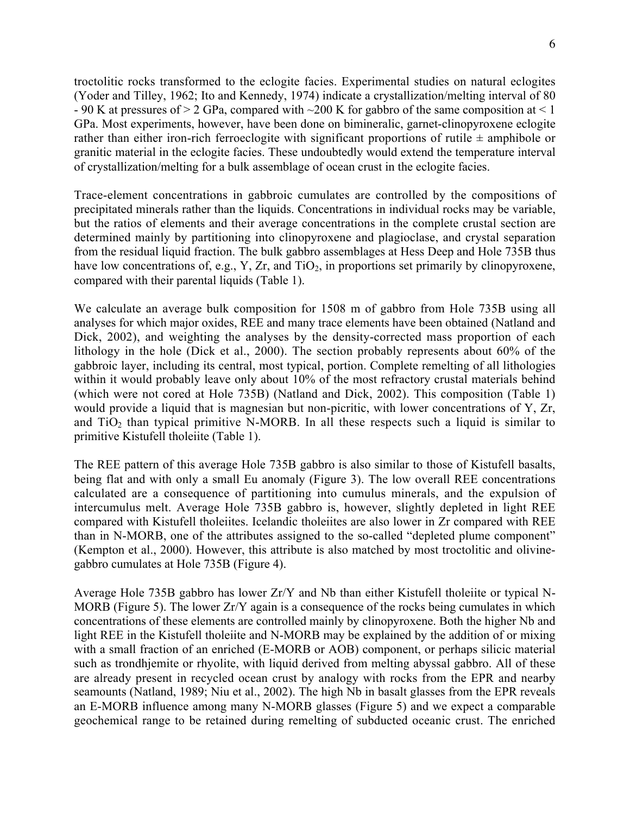troctolitic rocks transformed to the eclogite facies. Experimental studies on natural eclogites (Yoder and Tilley, 1962; Ito and Kennedy, 1974) indicate a crystallization/melting interval of 80  $-90$  K at pressures of  $> 2$  GPa, compared with  $\sim$ 200 K for gabbro of the same composition at  $\leq 1$ GPa. Most experiments, however, have been done on bimineralic, garnet-clinopyroxene eclogite rather than either iron-rich ferroeclogite with significant proportions of rutile  $\pm$  amphibole or granitic material in the eclogite facies. These undoubtedly would extend the temperature interval of crystallization/melting for a bulk assemblage of ocean crust in the eclogite facies.

Trace-element concentrations in gabbroic cumulates are controlled by the compositions of precipitated minerals rather than the liquids. Concentrations in individual rocks may be variable, but the ratios of elements and their average concentrations in the complete crustal section are determined mainly by partitioning into clinopyroxene and plagioclase, and crystal separation from the residual liquid fraction. The bulk gabbro assemblages at Hess Deep and Hole 735B thus have low concentrations of, e.g., Y, Zr, and  $TiO<sub>2</sub>$ , in proportions set primarily by clinopyroxene, compared with their parental liquids (Table 1).

We calculate an average bulk composition for 1508 m of gabbro from Hole 735B using all analyses for which major oxides, REE and many trace elements have been obtained (Natland and Dick, 2002), and weighting the analyses by the density-corrected mass proportion of each lithology in the hole (Dick et al., 2000). The section probably represents about 60% of the gabbroic layer, including its central, most typical, portion. Complete remelting of all lithologies within it would probably leave only about 10% of the most refractory crustal materials behind (which were not cored at Hole 735B) (Natland and Dick, 2002). This composition (Table 1) would provide a liquid that is magnesian but non-picritic, with lower concentrations of Y, Zr, and  $TiO<sub>2</sub>$  than typical primitive N-MORB. In all these respects such a liquid is similar to primitive Kistufell tholeiite (Table 1).

The REE pattern of this average Hole 735B gabbro is also similar to those of Kistufell basalts, being flat and with only a small Eu anomaly (Figure 3). The low overall REE concentrations calculated are a consequence of partitioning into cumulus minerals, and the expulsion of intercumulus melt. Average Hole 735B gabbro is, however, slightly depleted in light REE compared with Kistufell tholeiites. Icelandic tholeiites are also lower in Zr compared with REE than in N-MORB, one of the attributes assigned to the so-called "depleted plume component" (Kempton et al., 2000). However, this attribute is also matched by most troctolitic and olivinegabbro cumulates at Hole 735B (Figure 4).

Average Hole 735B gabbro has lower Zr/Y and Nb than either Kistufell tholeiite or typical N-MORB (Figure 5). The lower  $Zr/Y$  again is a consequence of the rocks being cumulates in which concentrations of these elements are controlled mainly by clinopyroxene. Both the higher Nb and light REE in the Kistufell tholeiite and N-MORB may be explained by the addition of or mixing with a small fraction of an enriched (E-MORB or AOB) component, or perhaps silicic material such as trondhjemite or rhyolite, with liquid derived from melting abyssal gabbro. All of these are already present in recycled ocean crust by analogy with rocks from the EPR and nearby seamounts (Natland, 1989; Niu et al., 2002). The high Nb in basalt glasses from the EPR reveals an E-MORB influence among many N-MORB glasses (Figure 5) and we expect a comparable geochemical range to be retained during remelting of subducted oceanic crust. The enriched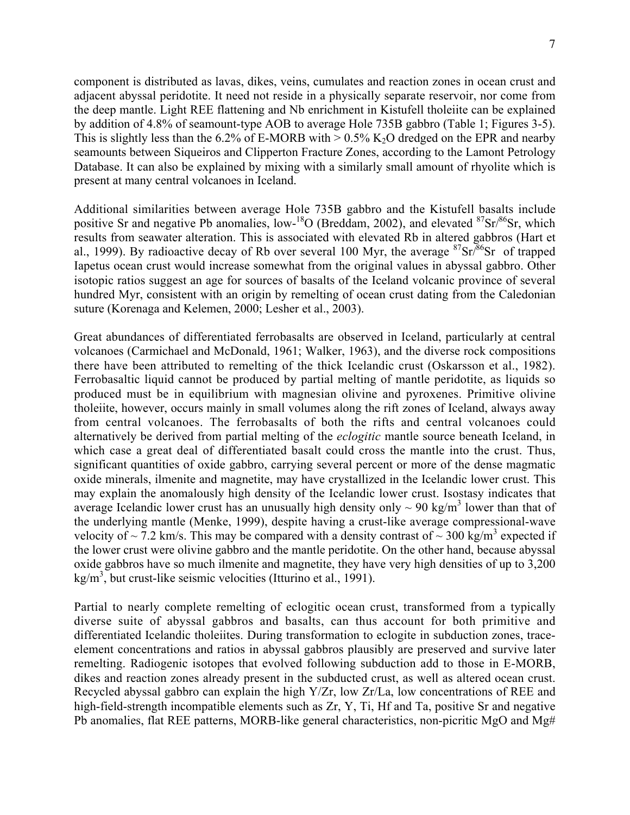component is distributed as lavas, dikes, veins, cumulates and reaction zones in ocean crust and adjacent abyssal peridotite. It need not reside in a physically separate reservoir, nor come from the deep mantle. Light REE flattening and Nb enrichment in Kistufell tholeiite can be explained by addition of 4.8% of seamount-type AOB to average Hole 735B gabbro (Table 1; Figures 3-5). This is slightly less than the 6.2% of E-MORB with  $> 0.5\%$  K<sub>2</sub>O dredged on the EPR and nearby seamounts between Siqueiros and Clipperton Fracture Zones, according to the Lamont Petrology Database. It can also be explained by mixing with a similarly small amount of rhyolite which is present at many central volcanoes in Iceland.

Additional similarities between average Hole 735B gabbro and the Kistufell basalts include positive Sr and negative Pb anomalies, low-<sup>18</sup>O (Breddam, 2002), and elevated  $87\text{Sr}/86\text{Sr}$ , which results from seawater alteration. This is associated with elevated Rb in altered gabbros (Hart et al., 1999). By radioactive decay of Rb over several 100 Myr, the average  ${}^{87}Sr/{}^{86}Sr$  of trapped Iapetus ocean crust would increase somewhat from the original values in abyssal gabbro. Other isotopic ratios suggest an age for sources of basalts of the Iceland volcanic province of several hundred Myr, consistent with an origin by remelting of ocean crust dating from the Caledonian suture (Korenaga and Kelemen, 2000; Lesher et al., 2003).

Great abundances of differentiated ferrobasalts are observed in Iceland, particularly at central volcanoes (Carmichael and McDonald, 1961; Walker, 1963), and the diverse rock compositions there have been attributed to remelting of the thick Icelandic crust (Oskarsson et al., 1982). Ferrobasaltic liquid cannot be produced by partial melting of mantle peridotite, as liquids so produced must be in equilibrium with magnesian olivine and pyroxenes. Primitive olivine tholeiite, however, occurs mainly in small volumes along the rift zones of Iceland, always away from central volcanoes. The ferrobasalts of both the rifts and central volcanoes could alternatively be derived from partial melting of the *eclogitic* mantle source beneath Iceland, in which case a great deal of differentiated basalt could cross the mantle into the crust. Thus, significant quantities of oxide gabbro, carrying several percent or more of the dense magmatic oxide minerals, ilmenite and magnetite, may have crystallized in the Icelandic lower crust. This may explain the anomalously high density of the Icelandic lower crust. Isostasy indicates that average Icelandic lower crust has an unusually high density only  $\sim$  90 kg/m<sup>3</sup> lower than that of the underlying mantle (Menke, 1999), despite having a crust-like average compressional-wave velocity of  $\sim$  7.2 km/s. This may be compared with a density contrast of  $\sim$  300 kg/m<sup>3</sup> expected if the lower crust were olivine gabbro and the mantle peridotite. On the other hand, because abyssal oxide gabbros have so much ilmenite and magnetite, they have very high densities of up to 3,200  $\text{kg/m}^3$ , but crust-like seismic velocities (Itturino et al., 1991).

Partial to nearly complete remelting of eclogitic ocean crust, transformed from a typically diverse suite of abyssal gabbros and basalts, can thus account for both primitive and differentiated Icelandic tholeiites. During transformation to eclogite in subduction zones, traceelement concentrations and ratios in abyssal gabbros plausibly are preserved and survive later remelting. Radiogenic isotopes that evolved following subduction add to those in E-MORB, dikes and reaction zones already present in the subducted crust, as well as altered ocean crust. Recycled abyssal gabbro can explain the high Y/Zr, low Zr/La, low concentrations of REE and high-field-strength incompatible elements such as Zr, Y, Ti, Hf and Ta, positive Sr and negative Pb anomalies, flat REE patterns, MORB-like general characteristics, non-picritic MgO and Mg#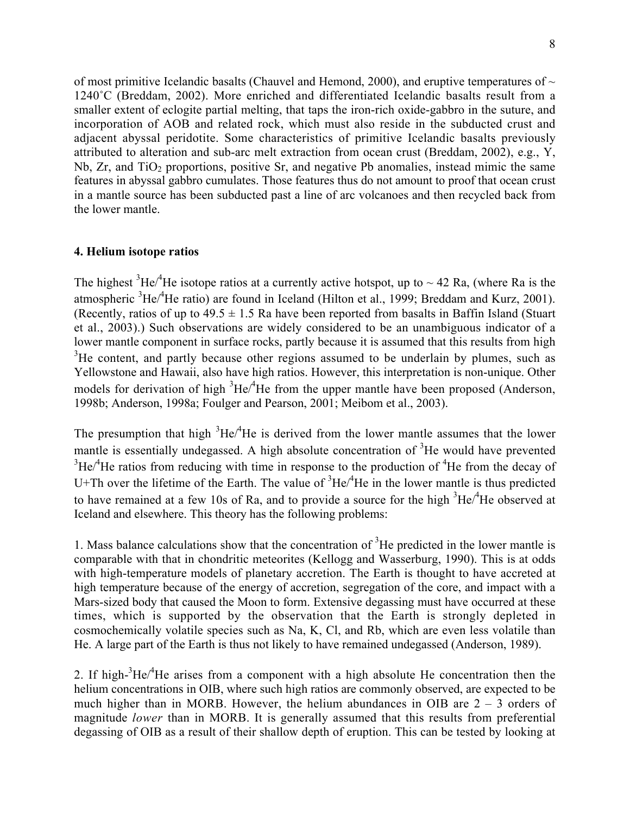of most primitive Icelandic basalts (Chauvel and Hemond, 2000), and eruptive temperatures of  $\sim$ 1240˚C (Breddam, 2002). More enriched and differentiated Icelandic basalts result from a smaller extent of eclogite partial melting, that taps the iron-rich oxide-gabbro in the suture, and incorporation of AOB and related rock, which must also reside in the subducted crust and adjacent abyssal peridotite. Some characteristics of primitive Icelandic basalts previously attributed to alteration and sub-arc melt extraction from ocean crust (Breddam, 2002), e.g., Y,  $Nb$ ,  $Zr$ , and  $TiO<sub>2</sub>$  proportions, positive Sr, and negative Pb anomalies, instead mimic the same features in abyssal gabbro cumulates. Those features thus do not amount to proof that ocean crust in a mantle source has been subducted past a line of arc volcanoes and then recycled back from the lower mantle.

# **4. Helium isotope ratios**

The highest  ${}^{3}$ He/ ${}^{4}$ He isotope ratios at a currently active hotspot, up to  $\sim$  42 Ra, (where Ra is the atmospheric <sup>3</sup>He/<sup>4</sup>He ratio) are found in Iceland (Hilton et al., 1999; Breddam and Kurz, 2001). (Recently, ratios of up to  $49.5 \pm 1.5$  Ra have been reported from basalts in Baffin Island (Stuart) et al., 2003).) Such observations are widely considered to be an unambiguous indicator of a lower mantle component in surface rocks, partly because it is assumed that this results from high  $3$ He content, and partly because other regions assumed to be underlain by plumes, such as Yellowstone and Hawaii, also have high ratios. However, this interpretation is non-unique. Other models for derivation of high  ${}^{3}$ He $/{}^{4}$ He from the upper mantle have been proposed (Anderson, 1998b; Anderson, 1998a; Foulger and Pearson, 2001; Meibom et al., 2003).

The presumption that high  ${}^{3}$ He/ ${}^{4}$ He is derived from the lower mantle assumes that the lower mantle is essentially undegassed. A high absolute concentration of  $3$ He would have prevented  ${}^{3}$ He<sup> $/4$ </sup>He ratios from reducing with time in response to the production of  ${}^{4}$ He from the decay of U+Th over the lifetime of the Earth. The value of  ${}^{3}He/{}^{4}He$  in the lower mantle is thus predicted to have remained at a few 10s of Ra, and to provide a source for the high  ${}^{3}He/{}^{4}He$  observed at Iceland and elsewhere. This theory has the following problems:

1. Mass balance calculations show that the concentration of  ${}^{3}$ He predicted in the lower mantle is comparable with that in chondritic meteorites (Kellogg and Wasserburg, 1990). This is at odds with high-temperature models of planetary accretion. The Earth is thought to have accreted at high temperature because of the energy of accretion, segregation of the core, and impact with a Mars-sized body that caused the Moon to form. Extensive degassing must have occurred at these times, which is supported by the observation that the Earth is strongly depleted in cosmochemically volatile species such as Na, K, Cl, and Rb, which are even less volatile than He. A large part of the Earth is thus not likely to have remained undegassed (Anderson, 1989).

2. If high- ${}^{3}$ He/ ${}^{4}$ He arises from a component with a high absolute He concentration then the helium concentrations in OIB, where such high ratios are commonly observed, are expected to be much higher than in MORB. However, the helium abundances in OIB are  $2 - 3$  orders of magnitude *lower* than in MORB. It is generally assumed that this results from preferential degassing of OIB as a result of their shallow depth of eruption. This can be tested by looking at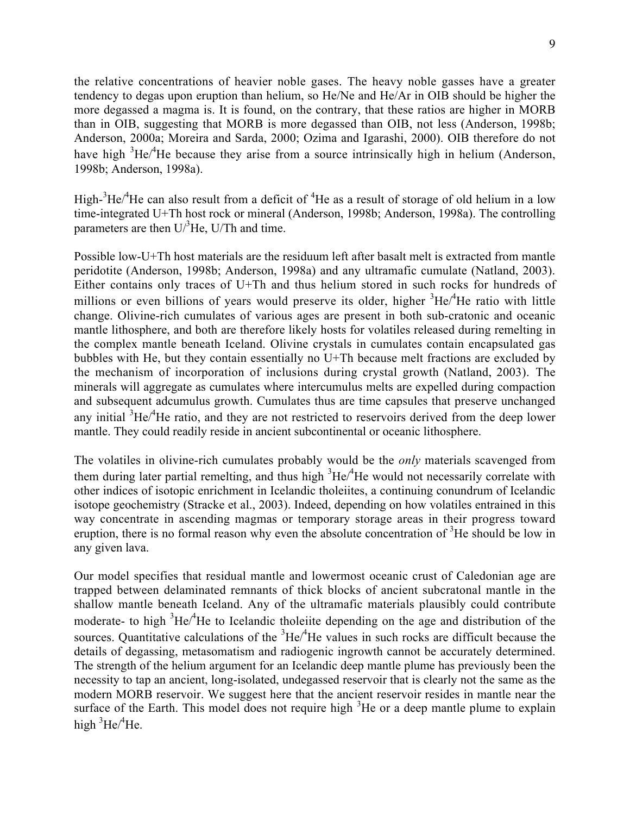the relative concentrations of heavier noble gases. The heavy noble gasses have a greater tendency to degas upon eruption than helium, so He/Ne and He/Ar in OIB should be higher the more degassed a magma is. It is found, on the contrary, that these ratios are higher in MORB than in OIB, suggesting that MORB is more degassed than OIB, not less (Anderson, 1998b; Anderson, 2000a; Moreira and Sarda, 2000; Ozima and Igarashi, 2000). OIB therefore do not have high  ${}^{3}$ He/ ${}^{4}$ He because they arise from a source intrinsically high in helium (Anderson, 1998b; Anderson, 1998a).

High-<sup>3</sup>He/<sup>4</sup>He can also result from a deficit of <sup>4</sup>He as a result of storage of old helium in a low time-integrated U+Th host rock or mineral (Anderson, 1998b; Anderson, 1998a). The controlling parameters are then  $U/{}^{3}$ He, U/Th and time.

Possible low-U+Th host materials are the residuum left after basalt melt is extracted from mantle peridotite (Anderson, 1998b; Anderson, 1998a) and any ultramafic cumulate (Natland, 2003). Either contains only traces of U+Th and thus helium stored in such rocks for hundreds of millions or even billions of years would preserve its older, higher <sup>3</sup>He/<sup>4</sup>He ratio with little change. Olivine-rich cumulates of various ages are present in both sub-cratonic and oceanic mantle lithosphere, and both are therefore likely hosts for volatiles released during remelting in the complex mantle beneath Iceland. Olivine crystals in cumulates contain encapsulated gas bubbles with He, but they contain essentially no U+Th because melt fractions are excluded by the mechanism of incorporation of inclusions during crystal growth (Natland, 2003). The minerals will aggregate as cumulates where intercumulus melts are expelled during compaction and subsequent adcumulus growth. Cumulates thus are time capsules that preserve unchanged any initial  ${}^{3}$ He $/{}^{4}$ He ratio, and they are not restricted to reservoirs derived from the deep lower mantle. They could readily reside in ancient subcontinental or oceanic lithosphere.

The volatiles in olivine-rich cumulates probably would be the *only* materials scavenged from them during later partial remelting, and thus high  ${}^{3}$ He $/{}^{4}$ He would not necessarily correlate with other indices of isotopic enrichment in Icelandic tholeiites, a continuing conundrum of Icelandic isotope geochemistry (Stracke et al., 2003). Indeed, depending on how volatiles entrained in this way concentrate in ascending magmas or temporary storage areas in their progress toward eruption, there is no formal reason why even the absolute concentration of <sup>3</sup>He should be low in any given lava.

Our model specifies that residual mantle and lowermost oceanic crust of Caledonian age are trapped between delaminated remnants of thick blocks of ancient subcratonal mantle in the shallow mantle beneath Iceland. Any of the ultramafic materials plausibly could contribute moderate- to high <sup>3</sup>He<sup> $/4$ </sup>He to Icelandic tholeiite depending on the age and distribution of the sources. Quantitative calculations of the  ${}^{3}$ He/ ${}^{4}$ He values in such rocks are difficult because the details of degassing, metasomatism and radiogenic ingrowth cannot be accurately determined. The strength of the helium argument for an Icelandic deep mantle plume has previously been the necessity to tap an ancient, long-isolated, undegassed reservoir that is clearly not the same as the modern MORB reservoir. We suggest here that the ancient reservoir resides in mantle near the surface of the Earth. This model does not require high  ${}^{3}$ He or a deep mantle plume to explain high  ${}^{3}$ He/ ${}^{4}$ He.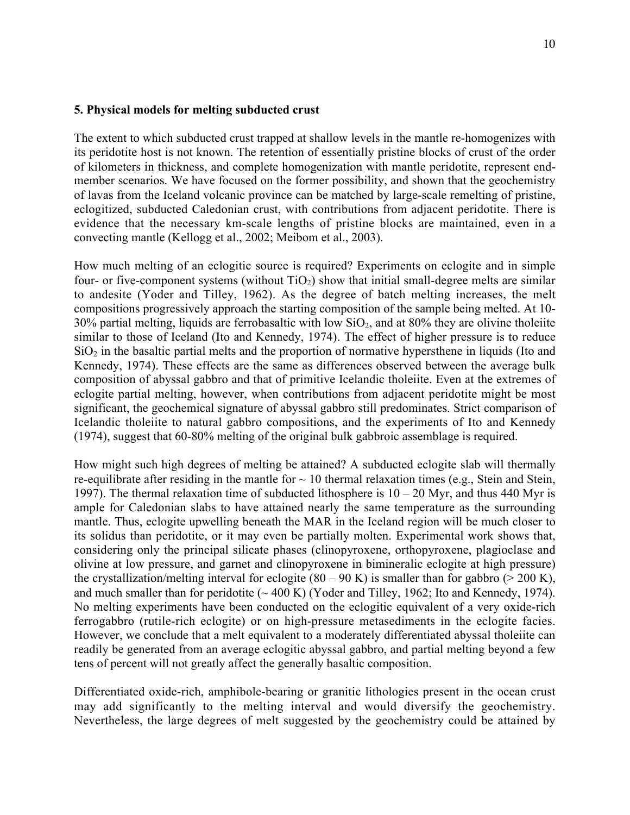## **5. Physical models for melting subducted crust**

The extent to which subducted crust trapped at shallow levels in the mantle re-homogenizes with its peridotite host is not known. The retention of essentially pristine blocks of crust of the order of kilometers in thickness, and complete homogenization with mantle peridotite, represent endmember scenarios. We have focused on the former possibility, and shown that the geochemistry of lavas from the Iceland volcanic province can be matched by large-scale remelting of pristine, eclogitized, subducted Caledonian crust, with contributions from adjacent peridotite. There is evidence that the necessary km-scale lengths of pristine blocks are maintained, even in a convecting mantle (Kellogg et al., 2002; Meibom et al., 2003).

How much melting of an eclogitic source is required? Experiments on eclogite and in simple four- or five-component systems (without  $TiO<sub>2</sub>$ ) show that initial small-degree melts are similar to andesite (Yoder and Tilley, 1962). As the degree of batch melting increases, the melt compositions progressively approach the starting composition of the sample being melted. At 10-  $30\%$  partial melting, liquids are ferrobasaltic with low  $SiO<sub>2</sub>$ , and at 80% they are olivine tholeiite similar to those of Iceland (Ito and Kennedy, 1974). The effect of higher pressure is to reduce  $SiO<sub>2</sub>$  in the basaltic partial melts and the proportion of normative hypersthene in liquids (Ito and Kennedy, 1974). These effects are the same as differences observed between the average bulk composition of abyssal gabbro and that of primitive Icelandic tholeiite. Even at the extremes of eclogite partial melting, however, when contributions from adjacent peridotite might be most significant, the geochemical signature of abyssal gabbro still predominates. Strict comparison of Icelandic tholeiite to natural gabbro compositions, and the experiments of Ito and Kennedy (1974), suggest that 60-80% melting of the original bulk gabbroic assemblage is required.

How might such high degrees of melting be attained? A subducted eclogite slab will thermally re-equilibrate after residing in the mantle for  $\sim$  10 thermal relaxation times (e.g., Stein and Stein, 1997). The thermal relaxation time of subducted lithosphere is  $10 - 20$  Myr, and thus 440 Myr is ample for Caledonian slabs to have attained nearly the same temperature as the surrounding mantle. Thus, eclogite upwelling beneath the MAR in the Iceland region will be much closer to its solidus than peridotite, or it may even be partially molten. Experimental work shows that, considering only the principal silicate phases (clinopyroxene, orthopyroxene, plagioclase and olivine at low pressure, and garnet and clinopyroxene in bimineralic eclogite at high pressure) the crystallization/melting interval for eclogite  $(80 - 90 \text{ K})$  is smaller than for gabbro ( $> 200 \text{ K}$ ), and much smaller than for peridotite  $(\sim 400 \text{ K})$  (Yoder and Tilley, 1962; Ito and Kennedy, 1974). No melting experiments have been conducted on the eclogitic equivalent of a very oxide-rich ferrogabbro (rutile-rich eclogite) or on high-pressure metasediments in the eclogite facies. However, we conclude that a melt equivalent to a moderately differentiated abyssal tholeiite can readily be generated from an average eclogitic abyssal gabbro, and partial melting beyond a few tens of percent will not greatly affect the generally basaltic composition.

Differentiated oxide-rich, amphibole-bearing or granitic lithologies present in the ocean crust may add significantly to the melting interval and would diversify the geochemistry. Nevertheless, the large degrees of melt suggested by the geochemistry could be attained by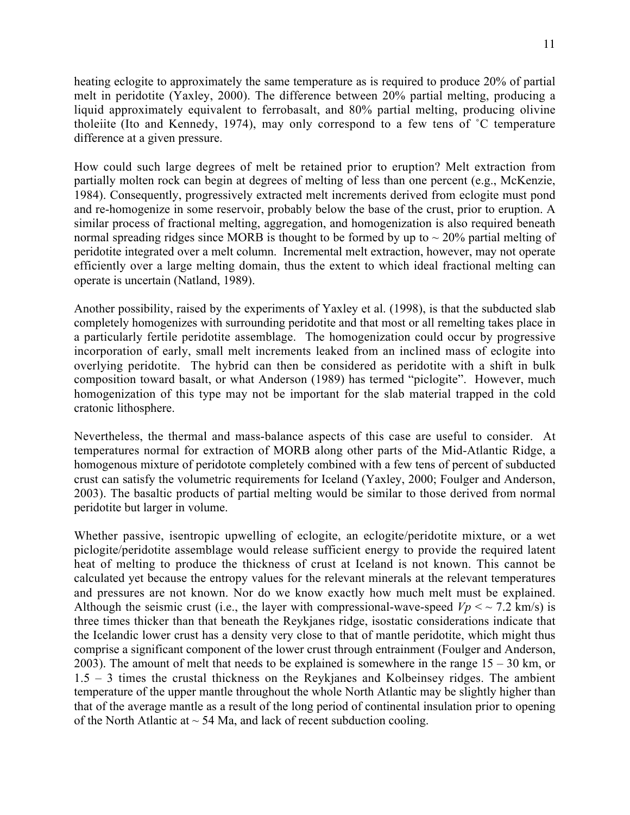heating eclogite to approximately the same temperature as is required to produce 20% of partial melt in peridotite (Yaxley, 2000). The difference between 20% partial melting, producing a liquid approximately equivalent to ferrobasalt, and 80% partial melting, producing olivine tholeiite (Ito and Kennedy, 1974), may only correspond to a few tens of ˚C temperature difference at a given pressure.

How could such large degrees of melt be retained prior to eruption? Melt extraction from partially molten rock can begin at degrees of melting of less than one percent (e.g., McKenzie, 1984). Consequently, progressively extracted melt increments derived from eclogite must pond and re-homogenize in some reservoir, probably below the base of the crust, prior to eruption. A similar process of fractional melting, aggregation, and homogenization is also required beneath normal spreading ridges since MORB is thought to be formed by up to  $\sim$  20% partial melting of peridotite integrated over a melt column. Incremental melt extraction, however, may not operate efficiently over a large melting domain, thus the extent to which ideal fractional melting can operate is uncertain (Natland, 1989).

Another possibility, raised by the experiments of Yaxley et al. (1998), is that the subducted slab completely homogenizes with surrounding peridotite and that most or all remelting takes place in a particularly fertile peridotite assemblage. The homogenization could occur by progressive incorporation of early, small melt increments leaked from an inclined mass of eclogite into overlying peridotite. The hybrid can then be considered as peridotite with a shift in bulk composition toward basalt, or what Anderson (1989) has termed "piclogite". However, much homogenization of this type may not be important for the slab material trapped in the cold cratonic lithosphere.

Nevertheless, the thermal and mass-balance aspects of this case are useful to consider. At temperatures normal for extraction of MORB along other parts of the Mid-Atlantic Ridge, a homogenous mixture of peridotote completely combined with a few tens of percent of subducted crust can satisfy the volumetric requirements for Iceland (Yaxley, 2000; Foulger and Anderson, 2003). The basaltic products of partial melting would be similar to those derived from normal peridotite but larger in volume.

Whether passive, isentropic upwelling of eclogite, an eclogite/peridotite mixture, or a wet piclogite/peridotite assemblage would release sufficient energy to provide the required latent heat of melting to produce the thickness of crust at Iceland is not known. This cannot be calculated yet because the entropy values for the relevant minerals at the relevant temperatures and pressures are not known. Nor do we know exactly how much melt must be explained. Although the seismic crust (i.e., the layer with compressional-wave-speed  $Vp \leq 7.2$  km/s) is three times thicker than that beneath the Reykjanes ridge, isostatic considerations indicate that the Icelandic lower crust has a density very close to that of mantle peridotite, which might thus comprise a significant component of the lower crust through entrainment (Foulger and Anderson, 2003). The amount of melt that needs to be explained is somewhere in the range  $15 - 30$  km, or 1.5 – 3 times the crustal thickness on the Reykjanes and Kolbeinsey ridges. The ambient temperature of the upper mantle throughout the whole North Atlantic may be slightly higher than that of the average mantle as a result of the long period of continental insulation prior to opening of the North Atlantic at  $\sim$  54 Ma, and lack of recent subduction cooling.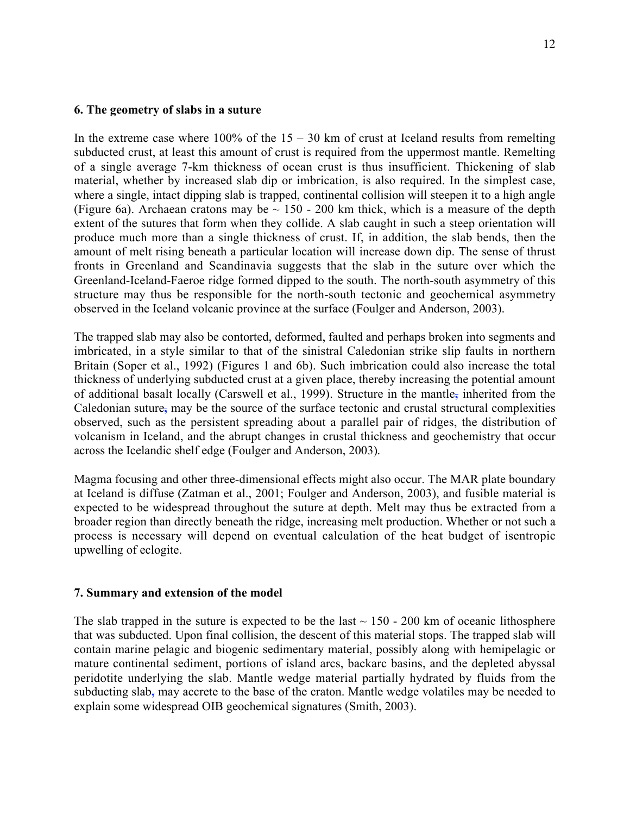## **6. The geometry of slabs in a suture**

In the extreme case where  $100\%$  of the  $15 - 30$  km of crust at Iceland results from remelting subducted crust, at least this amount of crust is required from the uppermost mantle. Remelting of a single average 7-km thickness of ocean crust is thus insufficient. Thickening of slab material, whether by increased slab dip or imbrication, is also required. In the simplest case, where a single, intact dipping slab is trapped, continental collision will steepen it to a high angle (Figure 6a). Archaean cratons may be  $\sim$  150 - 200 km thick, which is a measure of the depth extent of the sutures that form when they collide. A slab caught in such a steep orientation will produce much more than a single thickness of crust. If, in addition, the slab bends, then the amount of melt rising beneath a particular location will increase down dip. The sense of thrust fronts in Greenland and Scandinavia suggests that the slab in the suture over which the Greenland-Iceland-Faeroe ridge formed dipped to the south. The north-south asymmetry of this structure may thus be responsible for the north-south tectonic and geochemical asymmetry observed in the Iceland volcanic province at the surface (Foulger and Anderson, 2003).

The trapped slab may also be contorted, deformed, faulted and perhaps broken into segments and imbricated, in a style similar to that of the sinistral Caledonian strike slip faults in northern Britain (Soper et al., 1992) (Figures 1 and 6b). Such imbrication could also increase the total thickness of underlying subducted crust at a given place, thereby increasing the potential amount of additional basalt locally (Carswell et al., 1999). Structure in the mantle**,** inherited from the Caledonian suture**,** may be the source of the surface tectonic and crustal structural complexities observed, such as the persistent spreading about a parallel pair of ridges, the distribution of volcanism in Iceland, and the abrupt changes in crustal thickness and geochemistry that occur across the Icelandic shelf edge (Foulger and Anderson, 2003).

Magma focusing and other three-dimensional effects might also occur. The MAR plate boundary at Iceland is diffuse (Zatman et al., 2001; Foulger and Anderson, 2003), and fusible material is expected to be widespread throughout the suture at depth. Melt may thus be extracted from a broader region than directly beneath the ridge, increasing melt production. Whether or not such a process is necessary will depend on eventual calculation of the heat budget of isentropic upwelling of eclogite.

# **7. Summary and extension of the model**

The slab trapped in the suture is expected to be the last  $\sim 150$  - 200 km of oceanic lithosphere that was subducted. Upon final collision, the descent of this material stops. The trapped slab will contain marine pelagic and biogenic sedimentary material, possibly along with hemipelagic or mature continental sediment, portions of island arcs, backarc basins, and the depleted abyssal peridotite underlying the slab. Mantle wedge material partially hydrated by fluids from the subducting slab**,** may accrete to the base of the craton. Mantle wedge volatiles may be needed to explain some widespread OIB geochemical signatures (Smith, 2003).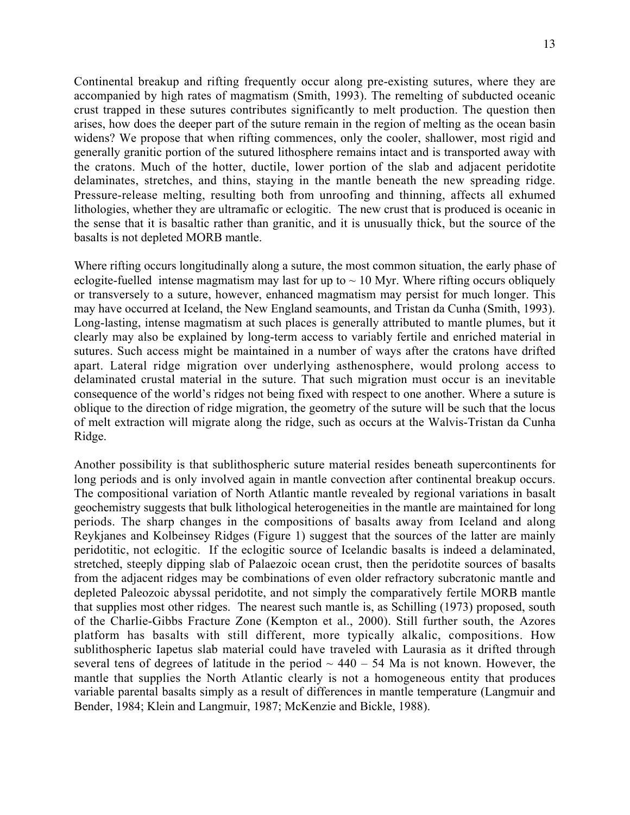Continental breakup and rifting frequently occur along pre-existing sutures, where they are accompanied by high rates of magmatism (Smith, 1993). The remelting of subducted oceanic crust trapped in these sutures contributes significantly to melt production. The question then arises, how does the deeper part of the suture remain in the region of melting as the ocean basin widens? We propose that when rifting commences, only the cooler, shallower, most rigid and generally granitic portion of the sutured lithosphere remains intact and is transported away with the cratons. Much of the hotter, ductile, lower portion of the slab and adjacent peridotite delaminates, stretches, and thins, staying in the mantle beneath the new spreading ridge. Pressure-release melting, resulting both from unroofing and thinning, affects all exhumed lithologies, whether they are ultramafic or eclogitic. The new crust that is produced is oceanic in the sense that it is basaltic rather than granitic, and it is unusually thick, but the source of the basalts is not depleted MORB mantle.

Where rifting occurs longitudinally along a suture, the most common situation, the early phase of eclogite-fuelled intense magmatism may last for up to  $\sim 10$  Myr. Where rifting occurs obliquely or transversely to a suture, however, enhanced magmatism may persist for much longer. This may have occurred at Iceland, the New England seamounts, and Tristan da Cunha (Smith, 1993). Long-lasting, intense magmatism at such places is generally attributed to mantle plumes, but it clearly may also be explained by long-term access to variably fertile and enriched material in sutures. Such access might be maintained in a number of ways after the cratons have drifted apart. Lateral ridge migration over underlying asthenosphere, would prolong access to delaminated crustal material in the suture. That such migration must occur is an inevitable consequence of the world's ridges not being fixed with respect to one another. Where a suture is oblique to the direction of ridge migration, the geometry of the suture will be such that the locus of melt extraction will migrate along the ridge, such as occurs at the Walvis-Tristan da Cunha Ridge.

Another possibility is that sublithospheric suture material resides beneath supercontinents for long periods and is only involved again in mantle convection after continental breakup occurs. The compositional variation of North Atlantic mantle revealed by regional variations in basalt geochemistry suggests that bulk lithological heterogeneities in the mantle are maintained for long periods. The sharp changes in the compositions of basalts away from Iceland and along Reykjanes and Kolbeinsey Ridges (Figure 1) suggest that the sources of the latter are mainly peridotitic, not eclogitic. If the eclogitic source of Icelandic basalts is indeed a delaminated, stretched, steeply dipping slab of Palaezoic ocean crust, then the peridotite sources of basalts from the adjacent ridges may be combinations of even older refractory subcratonic mantle and depleted Paleozoic abyssal peridotite, and not simply the comparatively fertile MORB mantle that supplies most other ridges. The nearest such mantle is, as Schilling (1973) proposed, south of the Charlie-Gibbs Fracture Zone (Kempton et al., 2000). Still further south, the Azores platform has basalts with still different, more typically alkalic, compositions. How sublithospheric Iapetus slab material could have traveled with Laurasia as it drifted through several tens of degrees of latitude in the period  $\sim$  440 – 54 Ma is not known. However, the mantle that supplies the North Atlantic clearly is not a homogeneous entity that produces variable parental basalts simply as a result of differences in mantle temperature (Langmuir and Bender, 1984; Klein and Langmuir, 1987; McKenzie and Bickle, 1988).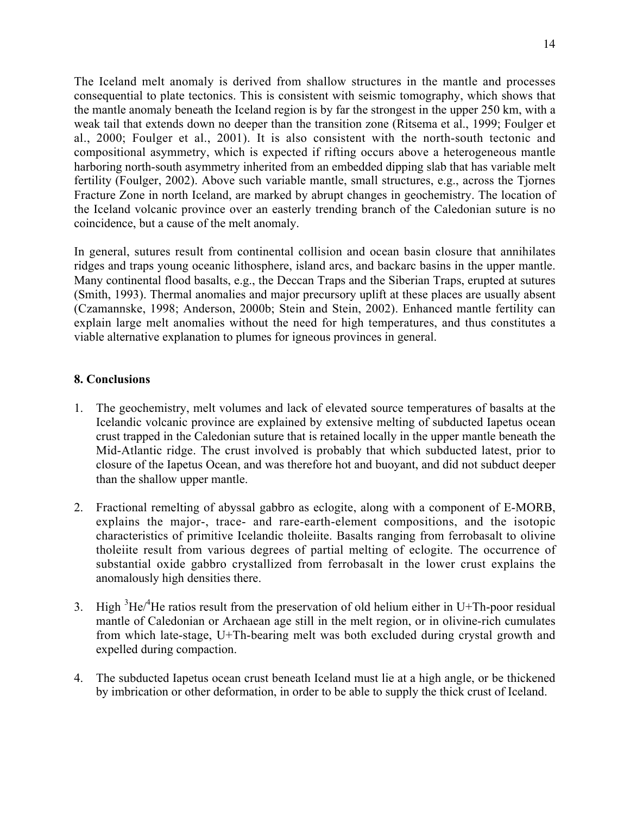The Iceland melt anomaly is derived from shallow structures in the mantle and processes consequential to plate tectonics. This is consistent with seismic tomography, which shows that the mantle anomaly beneath the Iceland region is by far the strongest in the upper 250 km, with a weak tail that extends down no deeper than the transition zone (Ritsema et al., 1999; Foulger et al., 2000; Foulger et al., 2001). It is also consistent with the north-south tectonic and compositional asymmetry, which is expected if rifting occurs above a heterogeneous mantle harboring north-south asymmetry inherited from an embedded dipping slab that has variable melt fertility (Foulger, 2002). Above such variable mantle, small structures, e.g., across the Tjornes Fracture Zone in north Iceland, are marked by abrupt changes in geochemistry. The location of the Iceland volcanic province over an easterly trending branch of the Caledonian suture is no coincidence, but a cause of the melt anomaly.

In general, sutures result from continental collision and ocean basin closure that annihilates ridges and traps young oceanic lithosphere, island arcs, and backarc basins in the upper mantle. Many continental flood basalts, e.g., the Deccan Traps and the Siberian Traps, erupted at sutures (Smith, 1993). Thermal anomalies and major precursory uplift at these places are usually absent (Czamannske, 1998; Anderson, 2000b; Stein and Stein, 2002). Enhanced mantle fertility can explain large melt anomalies without the need for high temperatures, and thus constitutes a viable alternative explanation to plumes for igneous provinces in general.

# **8. Conclusions**

- 1. The geochemistry, melt volumes and lack of elevated source temperatures of basalts at the Icelandic volcanic province are explained by extensive melting of subducted Iapetus ocean crust trapped in the Caledonian suture that is retained locally in the upper mantle beneath the Mid-Atlantic ridge. The crust involved is probably that which subducted latest, prior to closure of the Iapetus Ocean, and was therefore hot and buoyant, and did not subduct deeper than the shallow upper mantle.
- 2. Fractional remelting of abyssal gabbro as eclogite, along with a component of E-MORB, explains the major-, trace- and rare-earth-element compositions, and the isotopic characteristics of primitive Icelandic tholeiite. Basalts ranging from ferrobasalt to olivine tholeiite result from various degrees of partial melting of eclogite. The occurrence of substantial oxide gabbro crystallized from ferrobasalt in the lower crust explains the anomalously high densities there.
- 3. High  ${}^{3}$ He/ ${}^{4}$ He ratios result from the preservation of old helium either in U+Th-poor residual mantle of Caledonian or Archaean age still in the melt region, or in olivine-rich cumulates from which late-stage, U+Th-bearing melt was both excluded during crystal growth and expelled during compaction.
- 4. The subducted Iapetus ocean crust beneath Iceland must lie at a high angle, or be thickened by imbrication or other deformation, in order to be able to supply the thick crust of Iceland.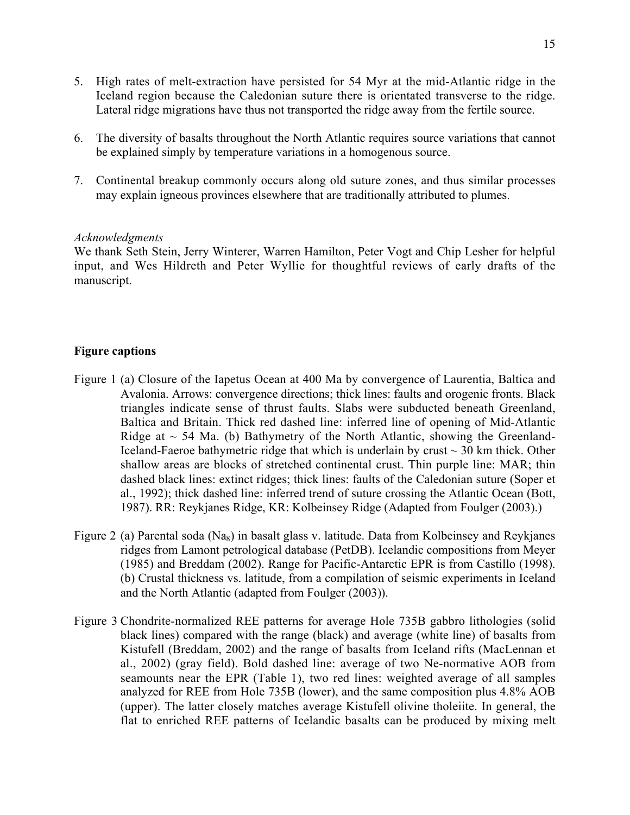- 5. High rates of melt-extraction have persisted for 54 Myr at the mid-Atlantic ridge in the Iceland region because the Caledonian suture there is orientated transverse to the ridge. Lateral ridge migrations have thus not transported the ridge away from the fertile source.
- 6. The diversity of basalts throughout the North Atlantic requires source variations that cannot be explained simply by temperature variations in a homogenous source.
- 7. Continental breakup commonly occurs along old suture zones, and thus similar processes may explain igneous provinces elsewhere that are traditionally attributed to plumes.

# *Acknowledgments*

We thank Seth Stein, Jerry Winterer, Warren Hamilton, Peter Vogt and Chip Lesher for helpful input, and Wes Hildreth and Peter Wyllie for thoughtful reviews of early drafts of the manuscript.

# **Figure captions**

- Figure 1 (a) Closure of the Iapetus Ocean at 400 Ma by convergence of Laurentia, Baltica and Avalonia. Arrows: convergence directions; thick lines: faults and orogenic fronts. Black triangles indicate sense of thrust faults. Slabs were subducted beneath Greenland, Baltica and Britain. Thick red dashed line: inferred line of opening of Mid-Atlantic Ridge at  $\sim$  54 Ma. (b) Bathymetry of the North Atlantic, showing the Greenland-Iceland-Faeroe bathymetric ridge that which is underlain by crust  $\sim$  30 km thick. Other shallow areas are blocks of stretched continental crust. Thin purple line: MAR; thin dashed black lines: extinct ridges; thick lines: faults of the Caledonian suture (Soper et al., 1992); thick dashed line: inferred trend of suture crossing the Atlantic Ocean (Bott, 1987). RR: Reykjanes Ridge, KR: Kolbeinsey Ridge (Adapted from Foulger (2003).)
- Figure 2 (a) Parental soda (Na<sub>8</sub>) in basalt glass v. latitude. Data from Kolbeinsey and Reykjanes ridges from Lamont petrological database (PetDB). Icelandic compositions from Meyer (1985) and Breddam (2002). Range for Pacific-Antarctic EPR is from Castillo (1998). (b) Crustal thickness vs. latitude, from a compilation of seismic experiments in Iceland and the North Atlantic (adapted from Foulger (2003)).
- Figure 3 Chondrite-normalized REE patterns for average Hole 735B gabbro lithologies (solid black lines) compared with the range (black) and average (white line) of basalts from Kistufell (Breddam, 2002) and the range of basalts from Iceland rifts (MacLennan et al., 2002) (gray field). Bold dashed line: average of two Ne-normative AOB from seamounts near the EPR (Table 1), two red lines: weighted average of all samples analyzed for REE from Hole 735B (lower), and the same composition plus 4.8% AOB (upper). The latter closely matches average Kistufell olivine tholeiite. In general, the flat to enriched REE patterns of Icelandic basalts can be produced by mixing melt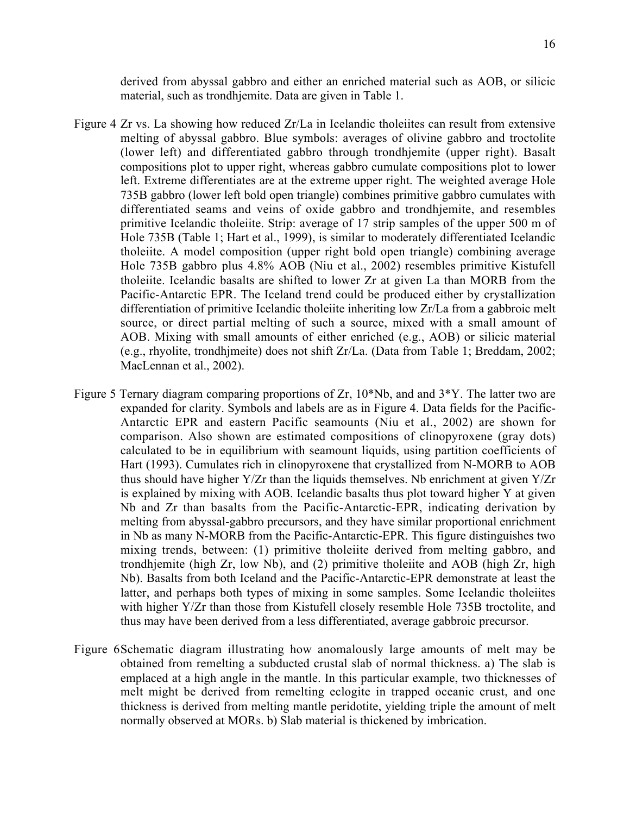derived from abyssal gabbro and either an enriched material such as AOB, or silicic material, such as trondhjemite. Data are given in Table 1.

- Figure 4 Zr vs. La showing how reduced Zr/La in Icelandic tholeiites can result from extensive melting of abyssal gabbro. Blue symbols: averages of olivine gabbro and troctolite (lower left) and differentiated gabbro through trondhjemite (upper right). Basalt compositions plot to upper right, whereas gabbro cumulate compositions plot to lower left. Extreme differentiates are at the extreme upper right. The weighted average Hole 735B gabbro (lower left bold open triangle) combines primitive gabbro cumulates with differentiated seams and veins of oxide gabbro and trondhjemite, and resembles primitive Icelandic tholeiite. Strip: average of 17 strip samples of the upper 500 m of Hole 735B (Table 1; Hart et al., 1999), is similar to moderately differentiated Icelandic tholeiite. A model composition (upper right bold open triangle) combining average Hole 735B gabbro plus 4.8% AOB (Niu et al., 2002) resembles primitive Kistufell tholeiite. Icelandic basalts are shifted to lower Zr at given La than MORB from the Pacific-Antarctic EPR. The Iceland trend could be produced either by crystallization differentiation of primitive Icelandic tholeiite inheriting low Zr/La from a gabbroic melt source, or direct partial melting of such a source, mixed with a small amount of AOB. Mixing with small amounts of either enriched (e.g., AOB) or silicic material (e.g., rhyolite, trondhjmeite) does not shift Zr/La. (Data from Table 1; Breddam, 2002; MacLennan et al., 2002).
- Figure 5 Ternary diagram comparing proportions of Zr, 10\*Nb, and and 3\*Y. The latter two are expanded for clarity. Symbols and labels are as in Figure 4. Data fields for the Pacific-Antarctic EPR and eastern Pacific seamounts (Niu et al., 2002) are shown for comparison. Also shown are estimated compositions of clinopyroxene (gray dots) calculated to be in equilibrium with seamount liquids, using partition coefficients of Hart (1993). Cumulates rich in clinopyroxene that crystallized from N-MORB to AOB thus should have higher Y/Zr than the liquids themselves. Nb enrichment at given Y/Zr is explained by mixing with AOB. Icelandic basalts thus plot toward higher Y at given Nb and Zr than basalts from the Pacific-Antarctic-EPR, indicating derivation by melting from abyssal-gabbro precursors, and they have similar proportional enrichment in Nb as many N-MORB from the Pacific-Antarctic-EPR. This figure distinguishes two mixing trends, between: (1) primitive tholeiite derived from melting gabbro, and trondhjemite (high Zr, low Nb), and (2) primitive tholeiite and AOB (high Zr, high Nb). Basalts from both Iceland and the Pacific-Antarctic-EPR demonstrate at least the latter, and perhaps both types of mixing in some samples. Some Icelandic tholeiites with higher Y/Zr than those from Kistufell closely resemble Hole 735B troctolite, and thus may have been derived from a less differentiated, average gabbroic precursor.
- Figure 6Schematic diagram illustrating how anomalously large amounts of melt may be obtained from remelting a subducted crustal slab of normal thickness. a) The slab is emplaced at a high angle in the mantle. In this particular example, two thicknesses of melt might be derived from remelting eclogite in trapped oceanic crust, and one thickness is derived from melting mantle peridotite, yielding triple the amount of melt normally observed at MORs. b) Slab material is thickened by imbrication.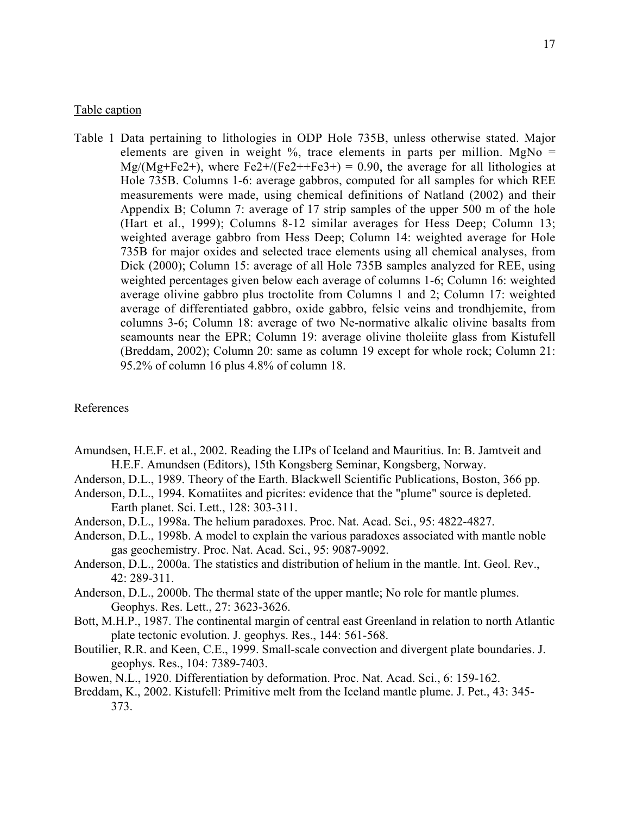#### Table caption

Table 1 Data pertaining to lithologies in ODP Hole 735B, unless otherwise stated. Major elements are given in weight  $\%$ , trace elements in parts per million. MgNo =  $Mg/(Mg+Fe2+)$ , where Fe2+/(Fe2++Fe3+) = 0.90, the average for all lithologies at Hole 735B. Columns 1-6: average gabbros, computed for all samples for which REE measurements were made, using chemical definitions of Natland (2002) and their Appendix B; Column 7: average of 17 strip samples of the upper 500 m of the hole (Hart et al., 1999); Columns 8-12 similar averages for Hess Deep; Column 13; weighted average gabbro from Hess Deep; Column 14: weighted average for Hole 735B for major oxides and selected trace elements using all chemical analyses, from Dick (2000); Column 15: average of all Hole 735B samples analyzed for REE, using weighted percentages given below each average of columns 1-6; Column 16: weighted average olivine gabbro plus troctolite from Columns 1 and 2; Column 17: weighted average of differentiated gabbro, oxide gabbro, felsic veins and trondhjemite, from columns 3-6; Column 18: average of two Ne-normative alkalic olivine basalts from seamounts near the EPR; Column 19: average olivine tholeiite glass from Kistufell (Breddam, 2002); Column 20: same as column 19 except for whole rock; Column 21: 95.2% of column 16 plus 4.8% of column 18.

#### References

- Amundsen, H.E.F. et al., 2002. Reading the LIPs of Iceland and Mauritius. In: B. Jamtveit and H.E.F. Amundsen (Editors), 15th Kongsberg Seminar, Kongsberg, Norway.
- Anderson, D.L., 1989. Theory of the Earth. Blackwell Scientific Publications, Boston, 366 pp.
- Anderson, D.L., 1994. Komatiites and picrites: evidence that the "plume" source is depleted. Earth planet. Sci. Lett., 128: 303-311.
- Anderson, D.L., 1998a. The helium paradoxes. Proc. Nat. Acad. Sci., 95: 4822-4827.
- Anderson, D.L., 1998b. A model to explain the various paradoxes associated with mantle noble gas geochemistry. Proc. Nat. Acad. Sci., 95: 9087-9092.
- Anderson, D.L., 2000a. The statistics and distribution of helium in the mantle. Int. Geol. Rev., 42: 289-311.
- Anderson, D.L., 2000b. The thermal state of the upper mantle; No role for mantle plumes. Geophys. Res. Lett., 27: 3623-3626.
- Bott, M.H.P., 1987. The continental margin of central east Greenland in relation to north Atlantic plate tectonic evolution. J. geophys. Res., 144: 561-568.
- Boutilier, R.R. and Keen, C.E., 1999. Small-scale convection and divergent plate boundaries. J. geophys. Res., 104: 7389-7403.
- Bowen, N.L., 1920. Differentiation by deformation. Proc. Nat. Acad. Sci., 6: 159-162.
- Breddam, K., 2002. Kistufell: Primitive melt from the Iceland mantle plume. J. Pet., 43: 345- 373.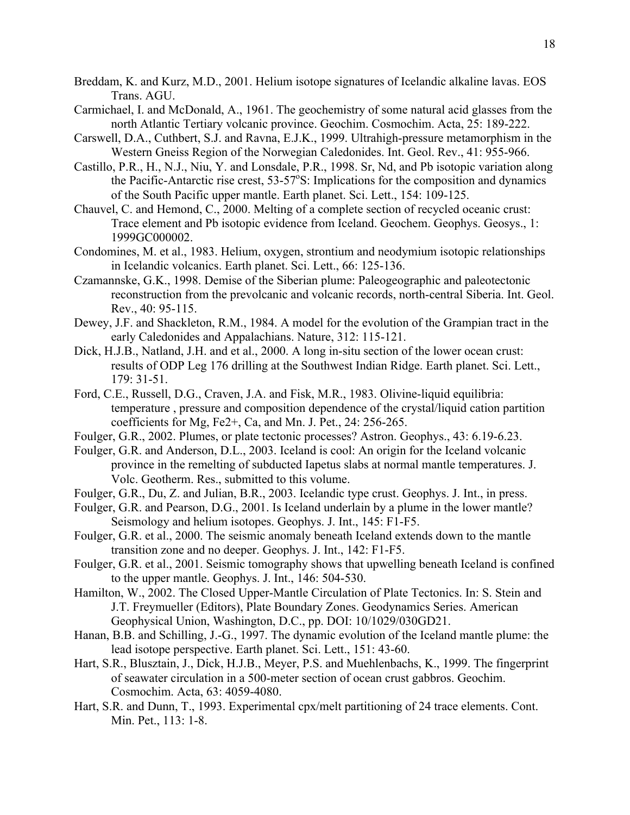- Breddam, K. and Kurz, M.D., 2001. Helium isotope signatures of Icelandic alkaline lavas. EOS Trans. AGU.
- Carmichael, I. and McDonald, A., 1961. The geochemistry of some natural acid glasses from the north Atlantic Tertiary volcanic province. Geochim. Cosmochim. Acta, 25: 189-222.
- Carswell, D.A., Cuthbert, S.J. and Ravna, E.J.K., 1999. Ultrahigh-pressure metamorphism in the Western Gneiss Region of the Norwegian Caledonides. Int. Geol. Rev., 41: 955-966.
- Castillo, P.R., H., N.J., Niu, Y. and Lonsdale, P.R., 1998. Sr, Nd, and Pb isotopic variation along the Pacific-Antarctic rise crest,  $53-57^{\circ}$ S: Implications for the composition and dynamics of the South Pacific upper mantle. Earth planet. Sci. Lett., 154: 109-125.
- Chauvel, C. and Hemond, C., 2000. Melting of a complete section of recycled oceanic crust: Trace element and Pb isotopic evidence from Iceland. Geochem. Geophys. Geosys., 1: 1999GC000002.
- Condomines, M. et al., 1983. Helium, oxygen, strontium and neodymium isotopic relationships in Icelandic volcanics. Earth planet. Sci. Lett., 66: 125-136.
- Czamannske, G.K., 1998. Demise of the Siberian plume: Paleogeographic and paleotectonic reconstruction from the prevolcanic and volcanic records, north-central Siberia. Int. Geol. Rev., 40: 95-115.
- Dewey, J.F. and Shackleton, R.M., 1984. A model for the evolution of the Grampian tract in the early Caledonides and Appalachians. Nature, 312: 115-121.
- Dick, H.J.B., Natland, J.H. and et al., 2000. A long in-situ section of the lower ocean crust: results of ODP Leg 176 drilling at the Southwest Indian Ridge. Earth planet. Sci. Lett., 179: 31-51.
- Ford, C.E., Russell, D.G., Craven, J.A. and Fisk, M.R., 1983. Olivine-liquid equilibria: temperature , pressure and composition dependence of the crystal/liquid cation partition coefficients for Mg, Fe2+, Ca, and Mn. J. Pet., 24: 256-265.
- Foulger, G.R., 2002. Plumes, or plate tectonic processes? Astron. Geophys., 43: 6.19-6.23.
- Foulger, G.R. and Anderson, D.L., 2003. Iceland is cool: An origin for the Iceland volcanic province in the remelting of subducted Iapetus slabs at normal mantle temperatures. J. Volc. Geotherm. Res., submitted to this volume.
- Foulger, G.R., Du, Z. and Julian, B.R., 2003. Icelandic type crust. Geophys. J. Int., in press.
- Foulger, G.R. and Pearson, D.G., 2001. Is Iceland underlain by a plume in the lower mantle? Seismology and helium isotopes. Geophys. J. Int., 145: F1-F5.
- Foulger, G.R. et al., 2000. The seismic anomaly beneath Iceland extends down to the mantle transition zone and no deeper. Geophys. J. Int., 142: F1-F5.
- Foulger, G.R. et al., 2001. Seismic tomography shows that upwelling beneath Iceland is confined to the upper mantle. Geophys. J. Int., 146: 504-530.
- Hamilton, W., 2002. The Closed Upper-Mantle Circulation of Plate Tectonics. In: S. Stein and J.T. Freymueller (Editors), Plate Boundary Zones. Geodynamics Series. American Geophysical Union, Washington, D.C., pp. DOI: 10/1029/030GD21.
- Hanan, B.B. and Schilling, J.-G., 1997. The dynamic evolution of the Iceland mantle plume: the lead isotope perspective. Earth planet. Sci. Lett., 151: 43-60.
- Hart, S.R., Blusztain, J., Dick, H.J.B., Meyer, P.S. and Muehlenbachs, K., 1999. The fingerprint of seawater circulation in a 500-meter section of ocean crust gabbros. Geochim. Cosmochim. Acta, 63: 4059-4080.
- Hart, S.R. and Dunn, T., 1993. Experimental cpx/melt partitioning of 24 trace elements. Cont. Min. Pet., 113: 1-8.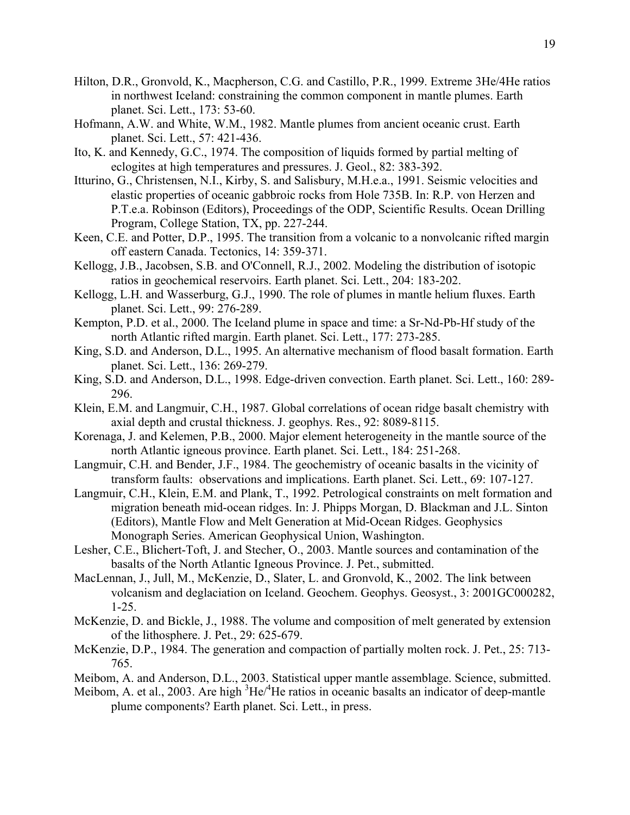- Hilton, D.R., Gronvold, K., Macpherson, C.G. and Castillo, P.R., 1999. Extreme 3He/4He ratios in northwest Iceland: constraining the common component in mantle plumes. Earth planet. Sci. Lett., 173: 53-60.
- Hofmann, A.W. and White, W.M., 1982. Mantle plumes from ancient oceanic crust. Earth planet. Sci. Lett., 57: 421-436.
- Ito, K. and Kennedy, G.C., 1974. The composition of liquids formed by partial melting of eclogites at high temperatures and pressures. J. Geol., 82: 383-392.
- Itturino, G., Christensen, N.I., Kirby, S. and Salisbury, M.H.e.a., 1991. Seismic velocities and elastic properties of oceanic gabbroic rocks from Hole 735B. In: R.P. von Herzen and P.T.e.a. Robinson (Editors), Proceedings of the ODP, Scientific Results. Ocean Drilling Program, College Station, TX, pp. 227-244.
- Keen, C.E. and Potter, D.P., 1995. The transition from a volcanic to a nonvolcanic rifted margin off eastern Canada. Tectonics, 14: 359-371.
- Kellogg, J.B., Jacobsen, S.B. and O'Connell, R.J., 2002. Modeling the distribution of isotopic ratios in geochemical reservoirs. Earth planet. Sci. Lett., 204: 183-202.
- Kellogg, L.H. and Wasserburg, G.J., 1990. The role of plumes in mantle helium fluxes. Earth planet. Sci. Lett., 99: 276-289.
- Kempton, P.D. et al., 2000. The Iceland plume in space and time: a Sr-Nd-Pb-Hf study of the north Atlantic rifted margin. Earth planet. Sci. Lett., 177: 273-285.
- King, S.D. and Anderson, D.L., 1995. An alternative mechanism of flood basalt formation. Earth planet. Sci. Lett., 136: 269-279.
- King, S.D. and Anderson, D.L., 1998. Edge-driven convection. Earth planet. Sci. Lett., 160: 289- 296.
- Klein, E.M. and Langmuir, C.H., 1987. Global correlations of ocean ridge basalt chemistry with axial depth and crustal thickness. J. geophys. Res., 92: 8089-8115.
- Korenaga, J. and Kelemen, P.B., 2000. Major element heterogeneity in the mantle source of the north Atlantic igneous province. Earth planet. Sci. Lett., 184: 251-268.
- Langmuir, C.H. and Bender, J.F., 1984. The geochemistry of oceanic basalts in the vicinity of transform faults: observations and implications. Earth planet. Sci. Lett., 69: 107-127.
- Langmuir, C.H., Klein, E.M. and Plank, T., 1992. Petrological constraints on melt formation and migration beneath mid-ocean ridges. In: J. Phipps Morgan, D. Blackman and J.L. Sinton (Editors), Mantle Flow and Melt Generation at Mid-Ocean Ridges. Geophysics Monograph Series. American Geophysical Union, Washington.
- Lesher, C.E., Blichert-Toft, J. and Stecher, O., 2003. Mantle sources and contamination of the basalts of the North Atlantic Igneous Province. J. Pet., submitted.
- MacLennan, J., Jull, M., McKenzie, D., Slater, L. and Gronvold, K., 2002. The link between volcanism and deglaciation on Iceland. Geochem. Geophys. Geosyst., 3: 2001GC000282, 1-25.
- McKenzie, D. and Bickle, J., 1988. The volume and composition of melt generated by extension of the lithosphere. J. Pet., 29: 625-679.
- McKenzie, D.P., 1984. The generation and compaction of partially molten rock. J. Pet., 25: 713- 765.
- Meibom, A. and Anderson, D.L., 2003. Statistical upper mantle assemblage. Science, submitted.
- Meibom, A. et al., 2003. Are high  ${}^{3}$ He/ ${}^{4}$ He ratios in oceanic basalts an indicator of deep-mantle plume components? Earth planet. Sci. Lett., in press.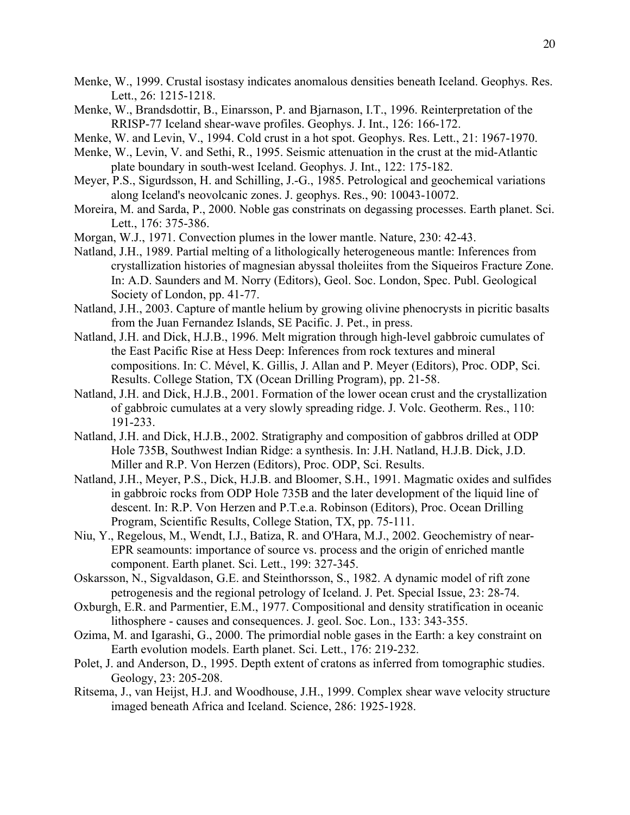- Menke, W., 1999. Crustal isostasy indicates anomalous densities beneath Iceland. Geophys. Res. Lett., 26: 1215-1218.
- Menke, W., Brandsdottir, B., Einarsson, P. and Bjarnason, I.T., 1996. Reinterpretation of the RRISP-77 Iceland shear-wave profiles. Geophys. J. Int., 126: 166-172.
- Menke, W. and Levin, V., 1994. Cold crust in a hot spot. Geophys. Res. Lett., 21: 1967-1970.
- Menke, W., Levin, V. and Sethi, R., 1995. Seismic attenuation in the crust at the mid-Atlantic plate boundary in south-west Iceland. Geophys. J. Int., 122: 175-182.
- Meyer, P.S., Sigurdsson, H. and Schilling, J.-G., 1985. Petrological and geochemical variations along Iceland's neovolcanic zones. J. geophys. Res., 90: 10043-10072.
- Moreira, M. and Sarda, P., 2000. Noble gas constrinats on degassing processes. Earth planet. Sci. Lett., 176: 375-386.
- Morgan, W.J., 1971. Convection plumes in the lower mantle. Nature, 230: 42-43.
- Natland, J.H., 1989. Partial melting of a lithologically heterogeneous mantle: Inferences from crystallization histories of magnesian abyssal tholeiites from the Siqueiros Fracture Zone. In: A.D. Saunders and M. Norry (Editors), Geol. Soc. London, Spec. Publ. Geological Society of London, pp. 41-77.
- Natland, J.H., 2003. Capture of mantle helium by growing olivine phenocrysts in picritic basalts from the Juan Fernandez Islands, SE Pacific. J. Pet., in press.
- Natland, J.H. and Dick, H.J.B., 1996. Melt migration through high-level gabbroic cumulates of the East Pacific Rise at Hess Deep: Inferences from rock textures and mineral compositions. In: C. Mével, K. Gillis, J. Allan and P. Meyer (Editors), Proc. ODP, Sci. Results. College Station, TX (Ocean Drilling Program), pp. 21-58.
- Natland, J.H. and Dick, H.J.B., 2001. Formation of the lower ocean crust and the crystallization of gabbroic cumulates at a very slowly spreading ridge. J. Volc. Geotherm. Res., 110: 191-233.
- Natland, J.H. and Dick, H.J.B., 2002. Stratigraphy and composition of gabbros drilled at ODP Hole 735B, Southwest Indian Ridge: a synthesis. In: J.H. Natland, H.J.B. Dick, J.D. Miller and R.P. Von Herzen (Editors), Proc. ODP, Sci. Results.
- Natland, J.H., Meyer, P.S., Dick, H.J.B. and Bloomer, S.H., 1991. Magmatic oxides and sulfides in gabbroic rocks from ODP Hole 735B and the later development of the liquid line of descent. In: R.P. Von Herzen and P.T.e.a. Robinson (Editors), Proc. Ocean Drilling Program, Scientific Results, College Station, TX, pp. 75-111.
- Niu, Y., Regelous, M., Wendt, I.J., Batiza, R. and O'Hara, M.J., 2002. Geochemistry of near-EPR seamounts: importance of source vs. process and the origin of enriched mantle component. Earth planet. Sci. Lett., 199: 327-345.
- Oskarsson, N., Sigvaldason, G.E. and Steinthorsson, S., 1982. A dynamic model of rift zone petrogenesis and the regional petrology of Iceland. J. Pet. Special Issue, 23: 28-74.
- Oxburgh, E.R. and Parmentier, E.M., 1977. Compositional and density stratification in oceanic lithosphere - causes and consequences. J. geol. Soc. Lon., 133: 343-355.
- Ozima, M. and Igarashi, G., 2000. The primordial noble gases in the Earth: a key constraint on Earth evolution models. Earth planet. Sci. Lett., 176: 219-232.
- Polet, J. and Anderson, D., 1995. Depth extent of cratons as inferred from tomographic studies. Geology, 23: 205-208.
- Ritsema, J., van Heijst, H.J. and Woodhouse, J.H., 1999. Complex shear wave velocity structure imaged beneath Africa and Iceland. Science, 286: 1925-1928.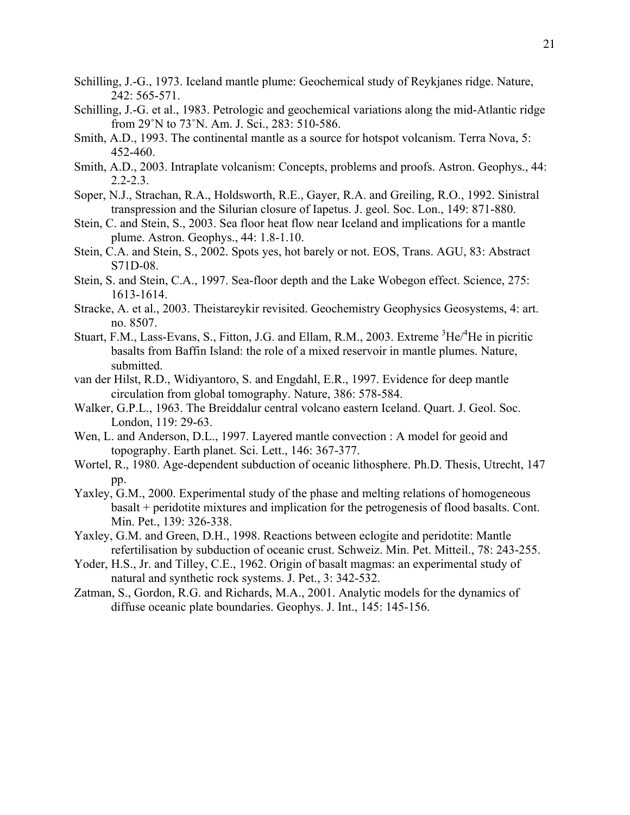- Schilling, J.-G., 1973. Iceland mantle plume: Geochemical study of Reykjanes ridge. Nature, 242: 565-571.
- Schilling, J.-G. et al., 1983. Petrologic and geochemical variations along the mid-Atlantic ridge from 29˚N to 73˚N. Am. J. Sci., 283: 510-586.
- Smith, A.D., 1993. The continental mantle as a source for hotspot volcanism. Terra Nova, 5: 452-460.
- Smith, A.D., 2003. Intraplate volcanism: Concepts, problems and proofs. Astron. Geophys., 44:  $2.2 - 2.3$ .
- Soper, N.J., Strachan, R.A., Holdsworth, R.E., Gayer, R.A. and Greiling, R.O., 1992. Sinistral transpression and the Silurian closure of Iapetus. J. geol. Soc. Lon., 149: 871-880.
- Stein, C. and Stein, S., 2003. Sea floor heat flow near Iceland and implications for a mantle plume. Astron. Geophys., 44: 1.8-1.10.
- Stein, C.A. and Stein, S., 2002. Spots yes, hot barely or not. EOS, Trans. AGU, 83: Abstract S71D-08.
- Stein, S. and Stein, C.A., 1997. Sea-floor depth and the Lake Wobegon effect. Science, 275: 1613-1614.
- Stracke, A. et al., 2003. Theistareykir revisited. Geochemistry Geophysics Geosystems, 4: art. no. 8507.
- Stuart, F.M., Lass-Evans, S., Fitton, J.G. and Ellam, R.M., 2003. Extreme <sup>3</sup>He/<sup>4</sup>He in picritic basalts from Baffin Island: the role of a mixed reservoir in mantle plumes. Nature, submitted.
- van der Hilst, R.D., Widiyantoro, S. and Engdahl, E.R., 1997. Evidence for deep mantle circulation from global tomography. Nature, 386: 578-584.
- Walker, G.P.L., 1963. The Breiddalur central volcano eastern Iceland. Quart. J. Geol. Soc. London, 119: 29-63.
- Wen, L. and Anderson, D.L., 1997. Layered mantle convection : A model for geoid and topography. Earth planet. Sci. Lett., 146: 367-377.
- Wortel, R., 1980. Age-dependent subduction of oceanic lithosphere. Ph.D. Thesis, Utrecht, 147 pp.
- Yaxley, G.M., 2000. Experimental study of the phase and melting relations of homogeneous basalt + peridotite mixtures and implication for the petrogenesis of flood basalts. Cont. Min. Pet., 139: 326-338.
- Yaxley, G.M. and Green, D.H., 1998. Reactions between eclogite and peridotite: Mantle refertilisation by subduction of oceanic crust. Schweiz. Min. Pet. Mitteil., 78: 243-255.
- Yoder, H.S., Jr. and Tilley, C.E., 1962. Origin of basalt magmas: an experimental study of natural and synthetic rock systems. J. Pet., 3: 342-532.
- Zatman, S., Gordon, R.G. and Richards, M.A., 2001. Analytic models for the dynamics of diffuse oceanic plate boundaries. Geophys. J. Int., 145: 145-156.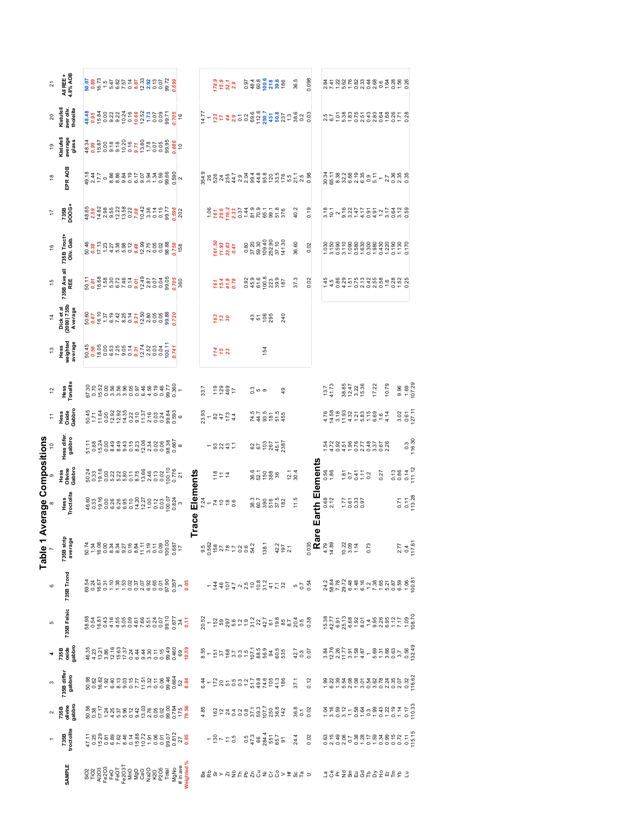|                              | ন             | All REE +<br>4.8% AOB                                                                                                                       |  |  |  |  | $\frac{8}{8}$ $\frac{6}{8}$ $\frac{6}{8}$ $\frac{6}{8}$ $\frac{6}{8}$ $\frac{6}{8}$ $\frac{6}{8}$ $\frac{6}{8}$ $\frac{6}{8}$ $\frac{6}{8}$ $\frac{6}{8}$ $\frac{6}{8}$ $\frac{6}{8}$ $\frac{6}{8}$ $\frac{6}{8}$ $\frac{6}{8}$ $\frac{6}{8}$ $\frac{6}{8}$ $\frac{6}{8}$ $\frac{6}{8}$ $\frac{6}{8}$ $\frac{6}{8}$ |  |  |                                                                                                                                                                                                                                                                        |                 |      |                                            | $78.9$<br>$15.3$<br>$52.1$<br>$2.9$                             |  |  |        |                 |          | 0.97<br>480.6<br>60.6<br>578.6<br>786                                                          |                | 36.5                                                                                                                                                                                                                                                                                                          | 0.098 |                       |                      |  |                            |                                                                                                   |       |      |       | 845868848648868<br>8458688486888                                                                                                                                                                                                                                                                    |                              |
|------------------------------|---------------|---------------------------------------------------------------------------------------------------------------------------------------------|--|--|--|--|---------------------------------------------------------------------------------------------------------------------------------------------------------------------------------------------------------------------------------------------------------------------------------------------------------------------|--|--|------------------------------------------------------------------------------------------------------------------------------------------------------------------------------------------------------------------------------------------------------------------------|-----------------|------|--------------------------------------------|-----------------------------------------------------------------|--|--|--------|-----------------|----------|------------------------------------------------------------------------------------------------|----------------|---------------------------------------------------------------------------------------------------------------------------------------------------------------------------------------------------------------------------------------------------------------------------------------------------------------|-------|-----------------------|----------------------|--|----------------------------|---------------------------------------------------------------------------------------------------|-------|------|-------|-----------------------------------------------------------------------------------------------------------------------------------------------------------------------------------------------------------------------------------------------------------------------------------------------------|------------------------------|
|                              |               | Kistufell<br>aver oliv.<br>tholeiite                                                                                                        |  |  |  |  |                                                                                                                                                                                                                                                                                                                     |  |  |                                                                                                                                                                                                                                                                        |                 |      |                                            |                                                                 |  |  |        |                 |          |                                                                                                |                |                                                                                                                                                                                                                                                                                                               |       |                       |                      |  |                            |                                                                                                   |       |      |       | sky competion and competion and competion and competion and competion and competion and competion and competio<br>International competion and competion and competion and competion and competion and competion and competion an                                                                    |                              |
|                              | ဒ္            | Kistufell<br>average<br>glass                                                                                                               |  |  |  |  |                                                                                                                                                                                                                                                                                                                     |  |  | $\begin{array}{cccccc}\n 48.38 & 0.0000 & 0.0000 & 0.0000 & 0.0000 & 0.0000 & 0.0000 & 0.0000 & 0.0000 & 0.0000 & 0.0000 & 0.0000 & 0.0000 & 0.0000 & 0.0000 & 0.0000 & 0.0000 & 0.0000 & 0.0000 & 0.0000 & 0.0000 & 0.0000 & 0.0000 & 0.0000 & 0.0000 & 0.0000 & 0.0$ |                 |      |                                            |                                                                 |  |  |        |                 |          |                                                                                                |                |                                                                                                                                                                                                                                                                                                               |       |                       |                      |  |                            |                                                                                                   |       |      |       |                                                                                                                                                                                                                                                                                                     |                              |
|                              | ₽             | EPR AOB                                                                                                                                     |  |  |  |  |                                                                                                                                                                                                                                                                                                                     |  |  |                                                                                                                                                                                                                                                                        |                 |      |                                            |                                                                 |  |  |        |                 |          |                                                                                                |                | $15.88$ $8.84$ $8.75$ $8.84$ $8.82$ $8.84$ $8.82$ $8.84$ $8.82$ $8.84$ $8.82$ $8.84$ $8.82$ $8.84$ $8.82$ $8.84$ $8.84$ $8.84$ $8.84$ $8.84$ $8.84$ $8.84$ $8.84$ $8.84$ $8.84$ $8.84$ $8.84$ $8.84$ $8.84$ $8.84$ $8.84$ $8.$                                                                                |       |                       |                      |  |                            |                                                                                                   |       |      |       |                                                                                                                                                                                                                                                                                                     |                              |
|                              | ÷             | 735B<br>DOOG+                                                                                                                               |  |  |  |  |                                                                                                                                                                                                                                                                                                                     |  |  |                                                                                                                                                                                                                                                                        |                 |      |                                            |                                                                 |  |  |        |                 |          | $18877788888888888$                                                                            |                | 40.2                                                                                                                                                                                                                                                                                                          | 0.19  |                       |                      |  |                            |                                                                                                   |       |      |       |                                                                                                                                                                                                                                                                                                     |                              |
|                              | \$            | 735B Troct+<br>Oliv. Gab.                                                                                                                   |  |  |  |  |                                                                                                                                                                                                                                                                                                                     |  |  | 8<br>883 383 38 38 38 38 38 38 38 39<br>8 3 3 3 3 3 3 4 3 5 6 9 8 9 8 9 8 9 3                                                                                                                                                                                          |                 |      |                                            | $\begin{array}{c} 161.50 \\ 11.93 \\ 23.83 \\ 0.41 \end{array}$ |  |  |        |                 |          | $\begin{array}{r} 0.80 \\ 37.20 \\ 59.30 \\ 109.40 \\ 252.90 \\ 37.10 \\ 37.10 \\ \end{array}$ |                | 36.60                                                                                                                                                                                                                                                                                                         | 0.02  |                       |                      |  |                            |                                                                                                   |       |      |       |                                                                                                                                                                                                                                                                                                     |                              |
|                              | 45            | 735B Ave all<br>REE                                                                                                                         |  |  |  |  |                                                                                                                                                                                                                                                                                                                     |  |  |                                                                                                                                                                                                                                                                        |                 |      |                                            | $75.4$<br>$41.8$<br>0.78                                        |  |  |        |                 |          | 0988392<br>0988392                                                                             |                | 37.3                                                                                                                                                                                                                                                                                                          | 0.02  |                       |                      |  |                            |                                                                                                   |       |      |       |                                                                                                                                                                                                                                                                                                     |                              |
|                              |               | Dick et al<br>(2000) 735b<br>Average                                                                                                        |  |  |  |  | $\begin{array}{l} 60.60 \\ 60.87 \\ 61.37 \\ 62.47 \\ 63.48 \\ 64.49 \\ 65.49 \\ 66.49 \\ 67.49 \\ 68.49 \\ 69.49 \\ 60.49 \\ 61.40 \\ 62.40 \\ 63.40 \\ 64.40 \\ 65.40 \\ 66.40 \\ 67.40 \\ 68.40 \\ 69.40 \\ 60.40 \\ 60.40 \\ 60.40 \\ 60.40 \\ 60.40 \\ 60.40 \\ 60.40 \\ 60.40 \\ 60.40 \\ 60$                 |  |  |                                                                                                                                                                                                                                                                        |                 |      |                                            | $\frac{5}{2}$ $\frac{2}{2}$                                     |  |  |        | $4500$<br>$795$ |          | 240                                                                                            |                |                                                                                                                                                                                                                                                                                                               |       |                       |                      |  |                            |                                                                                                   |       |      |       |                                                                                                                                                                                                                                                                                                     |                              |
|                              | $\frac{3}{2}$ | Hess<br>weighted<br>average                                                                                                                 |  |  |  |  |                                                                                                                                                                                                                                                                                                                     |  |  |                                                                                                                                                                                                                                                                        |                 |      |                                            | $74$<br>$75$<br>23                                              |  |  |        | 154             |          |                                                                                                |                |                                                                                                                                                                                                                                                                                                               |       |                       |                      |  |                            |                                                                                                   |       |      |       |                                                                                                                                                                                                                                                                                                     |                              |
|                              |               | Hess<br>Tonalite                                                                                                                            |  |  |  |  |                                                                                                                                                                                                                                                                                                                     |  |  |                                                                                                                                                                                                                                                                        |                 | 33.7 |                                            | 7990                                                            |  |  | ္မ ၀ စ |                 |          | $\frac{9}{4}$                                                                                  |                |                                                                                                                                                                                                                                                                                                               |       |                       | $\frac{13.7}{41.73}$ |  | 88.47<br>82.47<br>92.36    |                                                                                                   | 17.22 |      | 10.79 |                                                                                                                                                                                                                                                                                                     | 9.96<br>1.69<br>107.29       |
| Table 1 Average Compositions |               | Hess<br>Oxide<br>Gabbro                                                                                                                     |  |  |  |  |                                                                                                                                                                                                                                                                                                                     |  |  | $5 - 5$ $2 - 5$ $3 - 5$ $3 - 5$ $3 - 5$ $3 - 5$ $3 - 5$ $3 - 5$ $3 - 5$ $3 - 5$ $3 - 5$ $3 - 5$ $3 - 5$ $3 - 5$ $3 - 5$ $3 - 5$ $3 - 5$ $3 - 5$ $3 - 5$ $3 - 5$ $3 - 5$ $3 - 5$ $3 - 5$ $3 - 5$ $3 - 5$ $3 - 5$ $3 - 5$ $3 - 5$ $3 - 5$ $3 - 5$ $3 - 5$ $3 - $         |                 |      | $23 - 872$<br>$72$<br>$72$<br>$72$<br>$72$ |                                                                 |  |  |        |                 |          | $74880045$<br>$488004$                                                                         |                |                                                                                                                                                                                                                                                                                                               |       |                       |                      |  |                            |                                                                                                   |       |      |       |                                                                                                                                                                                                                                                                                                     | $3.02$<br>$0.61$<br>$127.11$ |
|                              |               | Hess difer<br>gabbro                                                                                                                        |  |  |  |  |                                                                                                                                                                                                                                                                                                                     |  |  |                                                                                                                                                                                                                                                                        |                 |      |                                            | $-824.5$                                                        |  |  |        |                 |          | 85 287<br>85 287<br>87                                                                         |                |                                                                                                                                                                                                                                                                                                               |       |                       |                      |  |                            |                                                                                                   |       |      |       |                                                                                                                                                                                                                                                                                                     | $\frac{0.3}{116.30}$         |
|                              |               | Hess<br>Olivine<br>Gabbro                                                                                                                   |  |  |  |  |                                                                                                                                                                                                                                                                                                                     |  |  |                                                                                                                                                                                                                                                                        |                 |      |                                            | $\frac{1}{2}$ $\frac{1}{2}$ $\frac{1}{4}$                       |  |  |        |                 | 8.708888 |                                                                                                | $12.1$<br>30.4 |                                                                                                                                                                                                                                                                                                               |       |                       | 0.56<br>1.86         |  |                            | $\frac{5}{2}$ $\frac{2}{3}$ $\frac{4}{1}$ $\frac{5}{1}$ $\frac{3}{2}$ $\frac{5}{1}$ $\frac{3}{2}$ |       | 0.27 |       | $\begin{array}{c} 13 \\ 0.86 \\ 0.71 \\ 0.71 \\ 0.72 \end{array}$                                                                                                                                                                                                                                   |                              |
|                              |               | Hess<br>Troctolite                                                                                                                          |  |  |  |  |                                                                                                                                                                                                                                                                                                                     |  |  |                                                                                                                                                                                                                                                                        | Elements<br>ace |      | $724$<br>$74288$                           |                                                                 |  |  |        |                 |          |                                                                                                |                | 11.5                                                                                                                                                                                                                                                                                                          |       | Earth Elements        | 0.68<br>2.12         |  |                            |                                                                                                   |       |      |       |                                                                                                                                                                                                                                                                                                     | $\frac{57}{13.28}$           |
|                              |               | 735B strip<br>average                                                                                                                       |  |  |  |  |                                                                                                                                                                                                                                                                                                                     |  |  |                                                                                                                                                                                                                                                                        |                 |      |                                            |                                                                 |  |  |        |                 |          | 0.562<br>0.562<br>0.582<br>0.72<br>0.24<br>0.24<br>2.7                                         |                |                                                                                                                                                                                                                                                                                                               |       | $\frac{1}{2}$<br>Rare |                      |  | $0.22$<br>$0.39$<br>$+1.4$ | 0.73                                                                                              |       |      |       |                                                                                                                                                                                                                                                                                                     | $2.77$<br>$0.4$<br>117.61    |
|                              |               | 735B Trond                                                                                                                                  |  |  |  |  |                                                                                                                                                                                                                                                                                                                     |  |  |                                                                                                                                                                                                                                                                        |                 |      |                                            |                                                                 |  |  |        |                 |          |                                                                                                |                | $-4857$ $-4927$ $-6997$ $-4287$ $-699$                                                                                                                                                                                                                                                                        |       |                       |                      |  |                            |                                                                                                   |       |      |       |                                                                                                                                                                                                                                                                                                     |                              |
|                              | 5             | 735B Felsic                                                                                                                                 |  |  |  |  |                                                                                                                                                                                                                                                                                                                     |  |  |                                                                                                                                                                                                                                                                        |                 |      |                                            |                                                                 |  |  |        |                 |          |                                                                                                |                | $20.52$ $-$ 15 $-$ 16 $-$ 16 $-$ 16 $-$ 16 $-$ 16 $-$ 16 $-$ 16 $-$ 16 $-$ 16 $-$ 16 $-$ 16 $-$ 16 $-$ 16 $-$ 16 $-$ 16 $-$ 16 $-$ 16 $-$ 16 $-$ 16 $-$ 16 $-$ 16 $-$ 16 $-$ 16 $-$ 16 $-$ 16 $-$ 16 $-$ 16 $-$ 16 $-$ 16 $-$                                                                                 |       |                       |                      |  |                            |                                                                                                   |       |      |       | $\begin{array}{l} 26.75 \\ 27.75 \\ 28.75 \\ 29.75 \\ 20.75 \\ 20.75 \\ 20.75 \\ 20.75 \\ 20.75 \\ 20.75 \\ 20.75 \\ 20.75 \\ 20.75 \\ 20.75 \\ 20.75 \\ 20.75 \\ 20.75 \\ 20.75 \\ 20.75 \\ 20.75 \\ 20.75 \\ 20.75 \\ 20.75 \\ 20.75 \\ 20.75 \\ 20.75 \\ 20.75 \\ 20.75 \\ 20.75 \\ 20.75 \\ 20$ |                              |
|                              |               | $7386$<br>$7386$<br>$386$<br>$386$                                                                                                          |  |  |  |  |                                                                                                                                                                                                                                                                                                                     |  |  |                                                                                                                                                                                                                                                                        |                 |      |                                            |                                                                 |  |  |        |                 |          |                                                                                                |                | $\begin{array}{l} 6.56 \\ 1.57 \\ 1.67 \\ 1.68 \\ 1.69 \\ 1.60 \\ 1.61 \\ 1.61 \\ 1.62 \\ 1.63 \\ 1.64 \\ 1.65 \\ 1.66 \\ 1.67 \\ 1.69 \\ 1.60 \\ 1.60 \\ 1.60 \\ 1.60 \\ 1.60 \\ 1.60 \\ 1.60 \\ 1.60 \\ 1.60 \\ 1.60 \\ 1.60 \\ 1.60 \\ 1.60 \\ 1.60 \\ 1.60 \\ 1.60 \\ 1.60 \\ 1.60 \\ 1.60 \\ 1.60 \\ 1.$ |       |                       |                      |  |                            |                                                                                                   |       |      |       | $3.5887 - 1.5887 - 1.5883 - 1.5883$<br>$3.5887 - 1.5887 - 1.5883 - 1.5883 - 1.5883 - 1.5883 - 1.5883 - 1.5883 - 1.5883 - 1.5883 - 1.5883 - 1.5883 - 1.5883 - 1.5883 - 1.5883 - 1.5883 - 1.5883 - 1.5883 - 1.5883 - 1.5883 - 1.5883 - 1.5883 - 1.5883 - 1.$                                          |                              |
|                              |               | r35B diffe<br>gabbro                                                                                                                        |  |  |  |  |                                                                                                                                                                                                                                                                                                                     |  |  |                                                                                                                                                                                                                                                                        |                 |      |                                            |                                                                 |  |  |        |                 |          |                                                                                                |                |                                                                                                                                                                                                                                                                                                               |       |                       |                      |  |                            |                                                                                                   |       |      |       |                                                                                                                                                                                                                                                                                                     |                              |
|                              |               | $\frac{2}{7}$<br>$\frac{3}{10}$<br>$\frac{1}{10}$<br>$\frac{1}{10}$<br>$\frac{1}{10}$<br>$\frac{1}{10}$<br>$\frac{1}{10}$<br>$\frac{1}{10}$ |  |  |  |  |                                                                                                                                                                                                                                                                                                                     |  |  | $50.38 + 74.8 + 86.48 + 86.88 + 86.88 + 86.88 + 86.88 + 86.88 + 86.88 + 86.88 + 86.88 + 86.88 + 86.88 + 86.88 + 86.88 + 86.88 + 86.88 + 86.88 + 86.88 + 86.88 + 86.88 + 86.88 + 86.88 + 86.88 + 86.88 + 86.88 + 86.88 + 86.88 + 86.88 + 86.88 + 86.88 + 86.8$          |                 |      |                                            |                                                                 |  |  |        |                 |          |                                                                                                |                | $4.80$ $6.80$ $6.80$ $6.80$ $6.80$ $6.80$ $6.80$ $6.80$ $6.80$ $6.80$ $6.80$ $6.80$ $6.80$ $6.80$ $6.80$ $6.80$ $6.80$ $6.80$ $6.80$ $6.80$ $6.80$ $6.80$ $6.80$ $6.80$ $6.80$ $6.80$ $6.80$ $6.80$ $6.80$ $6.80$ $6.80$ $6.8$                                                                                |       |                       |                      |  |                            |                                                                                                   |       |      |       |                                                                                                                                                                                                                                                                                                     |                              |
|                              |               | $\frac{1}{7368}$                                                                                                                            |  |  |  |  |                                                                                                                                                                                                                                                                                                                     |  |  |                                                                                                                                                                                                                                                                        |                 |      |                                            |                                                                 |  |  |        |                 |          |                                                                                                |                |                                                                                                                                                                                                                                                                                                               |       |                       |                      |  |                            |                                                                                                   |       |      |       |                                                                                                                                                                                                                                                                                                     |                              |
|                              |               | <b>SAMPLE</b>                                                                                                                               |  |  |  |  |                                                                                                                                                                                                                                                                                                                     |  |  |                                                                                                                                                                                                                                                                        |                 |      |                                            |                                                                 |  |  |        |                 |          |                                                                                                |                | 요명 아 > 넌 등 눈 땅 얻 을 드 있 > 盂 않 님 ㅋ                                                                                                                                                                                                                                                                              |       |                       |                      |  |                            |                                                                                                   |       |      |       | 104388884294593                                                                                                                                                                                                                                                                                     |                              |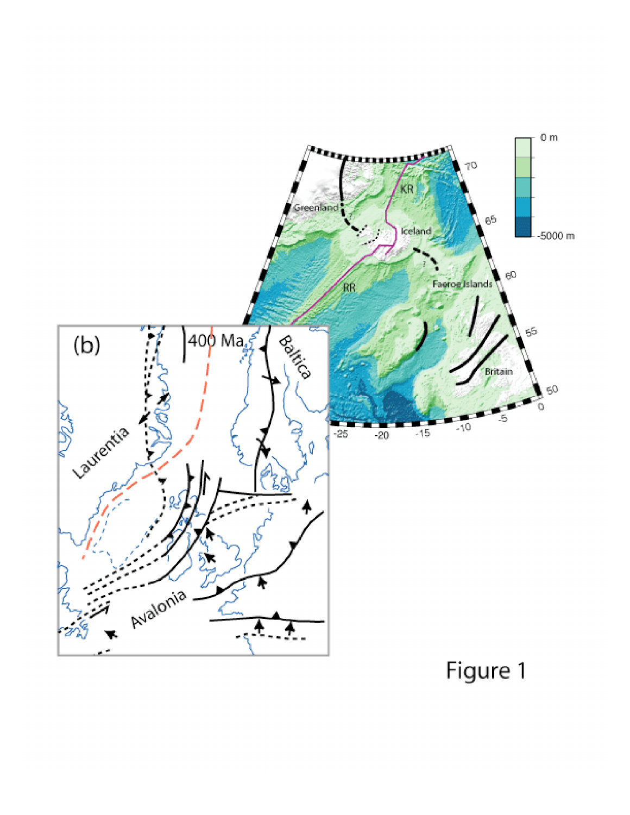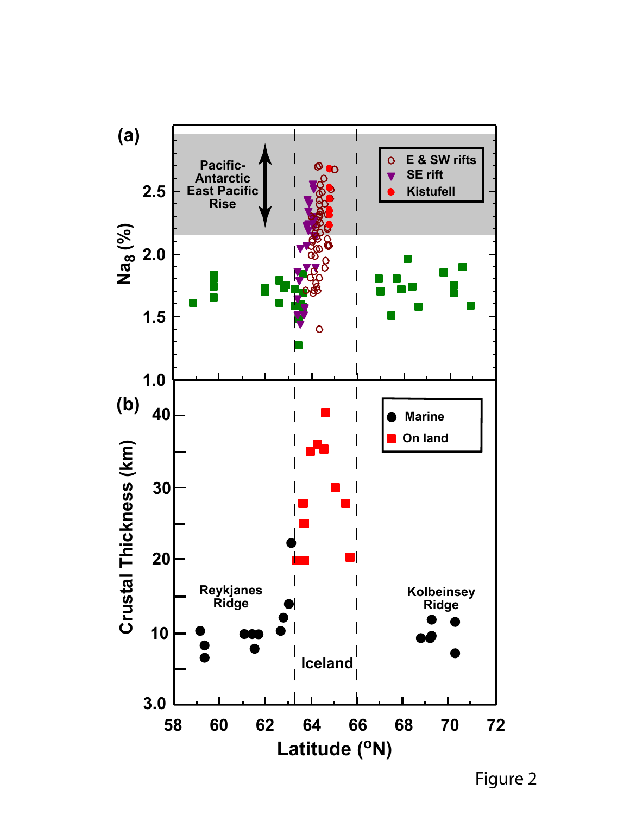

Figure 2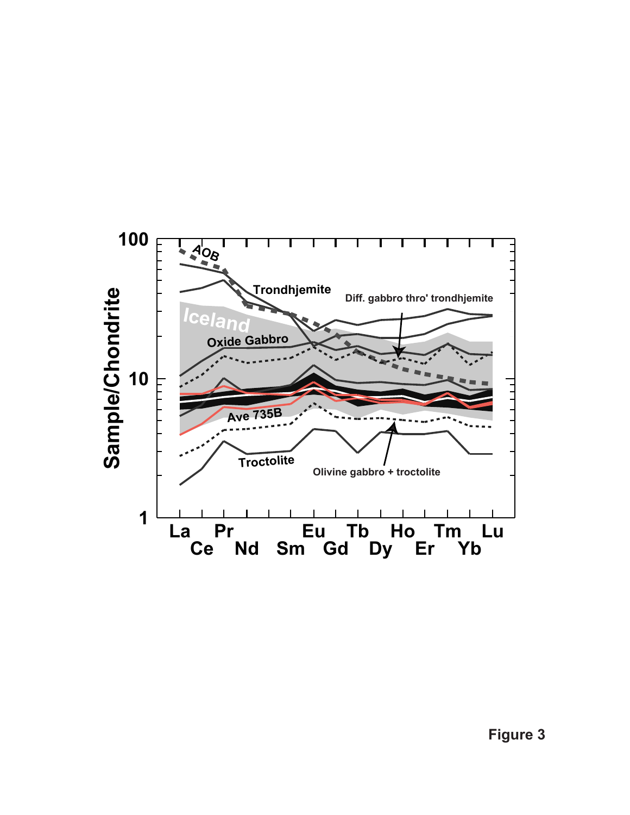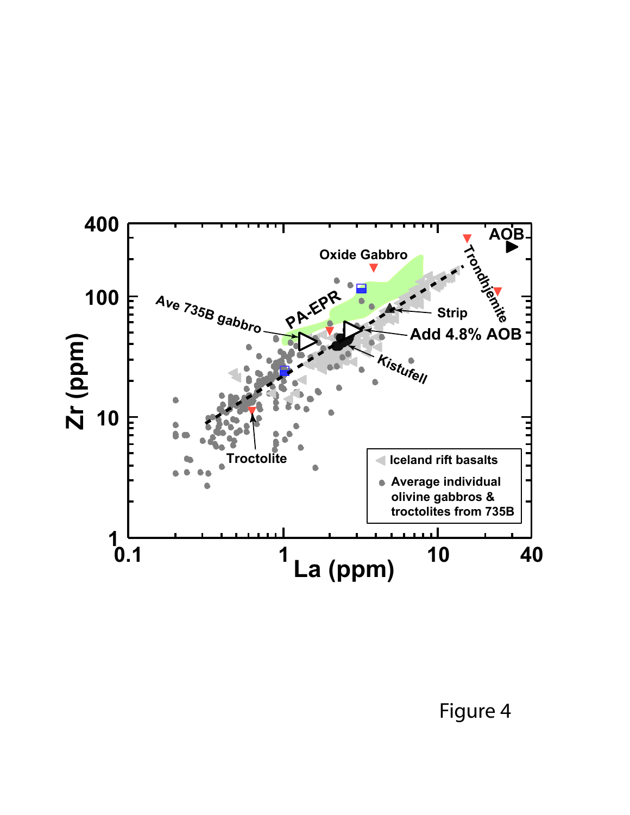

Figure 4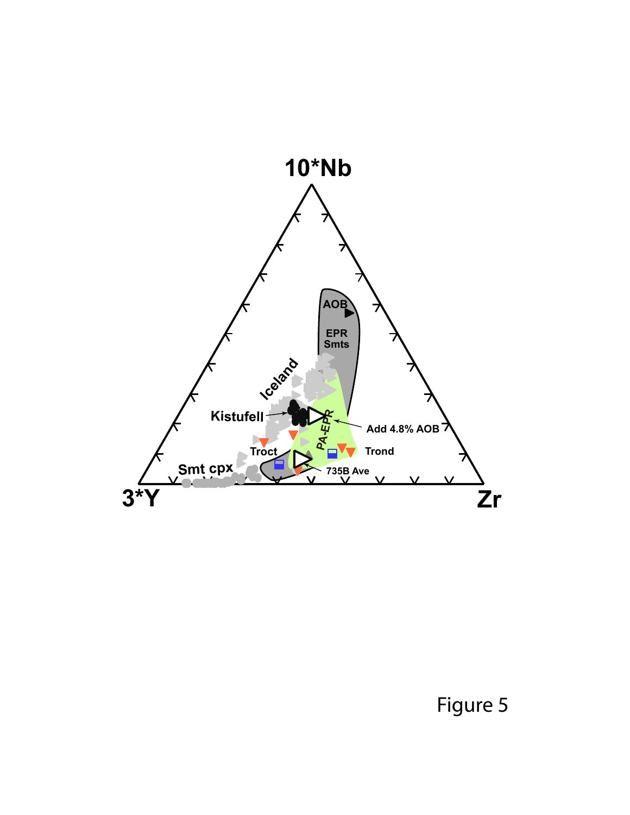

Figure 5